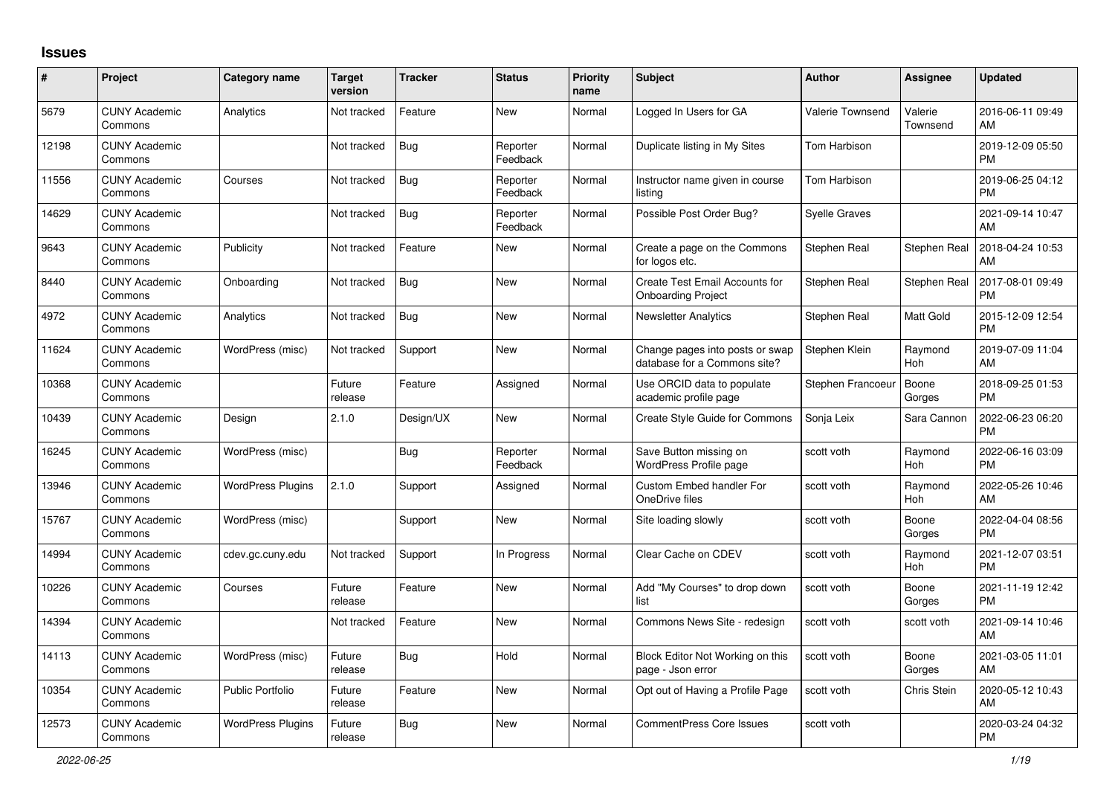## **Issues**

| #     | Project                         | <b>Category name</b>     | <b>Target</b><br>version | <b>Tracker</b> | <b>Status</b>        | <b>Priority</b><br>name | <b>Subject</b>                                                  | <b>Author</b>        | <b>Assignee</b>     | <b>Updated</b>                |
|-------|---------------------------------|--------------------------|--------------------------|----------------|----------------------|-------------------------|-----------------------------------------------------------------|----------------------|---------------------|-------------------------------|
| 5679  | <b>CUNY Academic</b><br>Commons | Analytics                | Not tracked              | Feature        | <b>New</b>           | Normal                  | Logged In Users for GA                                          | Valerie Townsend     | Valerie<br>Townsend | 2016-06-11 09:49<br>AM        |
| 12198 | <b>CUNY Academic</b><br>Commons |                          | Not tracked              | Bug            | Reporter<br>Feedback | Normal                  | Duplicate listing in My Sites                                   | Tom Harbison         |                     | 2019-12-09 05:50<br><b>PM</b> |
| 11556 | <b>CUNY Academic</b><br>Commons | Courses                  | Not tracked              | <b>Bug</b>     | Reporter<br>Feedback | Normal                  | Instructor name given in course<br>listing                      | Tom Harbison         |                     | 2019-06-25 04:12<br><b>PM</b> |
| 14629 | <b>CUNY Academic</b><br>Commons |                          | Not tracked              | <b>Bug</b>     | Reporter<br>Feedback | Normal                  | Possible Post Order Bug?                                        | <b>Syelle Graves</b> |                     | 2021-09-14 10:47<br>AM        |
| 9643  | <b>CUNY Academic</b><br>Commons | Publicity                | Not tracked              | Feature        | New                  | Normal                  | Create a page on the Commons<br>for logos etc.                  | Stephen Real         | Stephen Real        | 2018-04-24 10:53<br>AM        |
| 8440  | <b>CUNY Academic</b><br>Commons | Onboarding               | Not tracked              | Bug            | New                  | Normal                  | Create Test Email Accounts for<br><b>Onboarding Project</b>     | Stephen Real         | Stephen Real        | 2017-08-01 09:49<br><b>PM</b> |
| 4972  | <b>CUNY Academic</b><br>Commons | Analytics                | Not tracked              | <b>Bug</b>     | <b>New</b>           | Normal                  | <b>Newsletter Analytics</b>                                     | Stephen Real         | Matt Gold           | 2015-12-09 12:54<br><b>PM</b> |
| 11624 | <b>CUNY Academic</b><br>Commons | WordPress (misc)         | Not tracked              | Support        | New                  | Normal                  | Change pages into posts or swap<br>database for a Commons site? | Stephen Klein        | Raymond<br>Hoh      | 2019-07-09 11:04<br>AM        |
| 10368 | <b>CUNY Academic</b><br>Commons |                          | Future<br>release        | Feature        | Assigned             | Normal                  | Use ORCID data to populate<br>academic profile page             | Stephen Francoeur    | Boone<br>Gorges     | 2018-09-25 01:53<br><b>PM</b> |
| 10439 | <b>CUNY Academic</b><br>Commons | Design                   | 2.1.0                    | Design/UX      | <b>New</b>           | Normal                  | Create Style Guide for Commons                                  | Sonja Leix           | Sara Cannon         | 2022-06-23 06:20<br><b>PM</b> |
| 16245 | <b>CUNY Academic</b><br>Commons | WordPress (misc)         |                          | Bug            | Reporter<br>Feedback | Normal                  | Save Button missing on<br>WordPress Profile page                | scott voth           | Raymond<br>Hoh      | 2022-06-16 03:09<br><b>PM</b> |
| 13946 | <b>CUNY Academic</b><br>Commons | <b>WordPress Plugins</b> | 2.1.0                    | Support        | Assigned             | Normal                  | <b>Custom Embed handler For</b><br>OneDrive files               | scott voth           | Raymond<br>Hoh      | 2022-05-26 10:46<br>AM        |
| 15767 | <b>CUNY Academic</b><br>Commons | WordPress (misc)         |                          | Support        | New                  | Normal                  | Site loading slowly                                             | scott voth           | Boone<br>Gorges     | 2022-04-04 08:56<br><b>PM</b> |
| 14994 | <b>CUNY Academic</b><br>Commons | cdev.gc.cuny.edu         | Not tracked              | Support        | In Progress          | Normal                  | Clear Cache on CDEV                                             | scott voth           | Raymond<br>Hoh      | 2021-12-07 03:51<br><b>PM</b> |
| 10226 | <b>CUNY Academic</b><br>Commons | Courses                  | Future<br>release        | Feature        | New                  | Normal                  | Add "My Courses" to drop down<br>list                           | scott voth           | Boone<br>Gorges     | 2021-11-19 12:42<br><b>PM</b> |
| 14394 | <b>CUNY Academic</b><br>Commons |                          | Not tracked              | Feature        | <b>New</b>           | Normal                  | Commons News Site - redesign                                    | scott voth           | scott voth          | 2021-09-14 10:46<br>AM        |
| 14113 | <b>CUNY Academic</b><br>Commons | WordPress (misc)         | Future<br>release        | Bug            | Hold                 | Normal                  | Block Editor Not Working on this<br>page - Json error           | scott voth           | Boone<br>Gorges     | 2021-03-05 11:01<br>AM        |
| 10354 | <b>CUNY Academic</b><br>Commons | Public Portfolio         | Future<br>release        | Feature        | <b>New</b>           | Normal                  | Opt out of Having a Profile Page                                | scott voth           | Chris Stein         | 2020-05-12 10:43<br>AM        |
| 12573 | <b>CUNY Academic</b><br>Commons | <b>WordPress Plugins</b> | Future<br>release        | Bug            | <b>New</b>           | Normal                  | <b>CommentPress Core Issues</b>                                 | scott voth           |                     | 2020-03-24 04:32<br><b>PM</b> |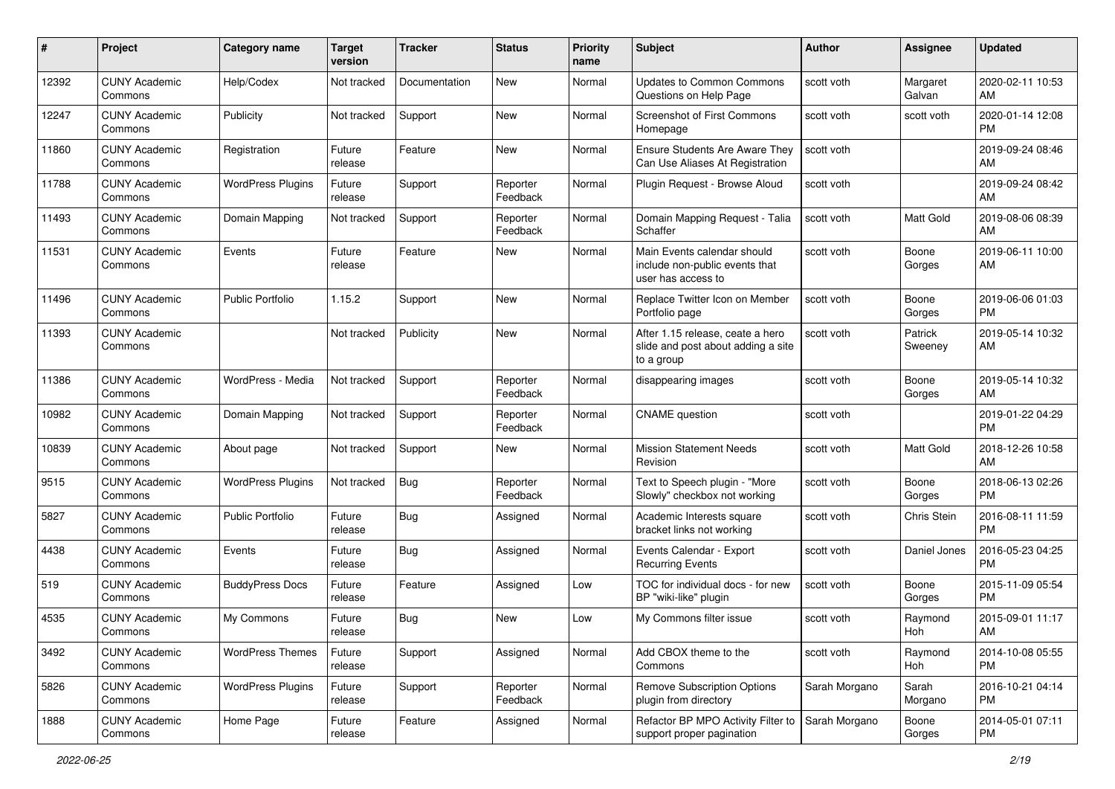| #     | Project                         | <b>Category name</b>     | <b>Target</b><br>version | <b>Tracker</b> | <b>Status</b>        | <b>Priority</b><br>name | <b>Subject</b>                                                                       | Author        | Assignee           | <b>Updated</b>                |
|-------|---------------------------------|--------------------------|--------------------------|----------------|----------------------|-------------------------|--------------------------------------------------------------------------------------|---------------|--------------------|-------------------------------|
| 12392 | <b>CUNY Academic</b><br>Commons | Help/Codex               | Not tracked              | Documentation  | <b>New</b>           | Normal                  | <b>Updates to Common Commons</b><br>Questions on Help Page                           | scott voth    | Margaret<br>Galvan | 2020-02-11 10:53<br>AM        |
| 12247 | <b>CUNY Academic</b><br>Commons | Publicity                | Not tracked              | Support        | <b>New</b>           | Normal                  | <b>Screenshot of First Commons</b><br>Homepage                                       | scott voth    | scott voth         | 2020-01-14 12:08<br>PM        |
| 11860 | <b>CUNY Academic</b><br>Commons | Registration             | Future<br>release        | Feature        | <b>New</b>           | Normal                  | <b>Ensure Students Are Aware They</b><br>Can Use Aliases At Registration             | scott voth    |                    | 2019-09-24 08:46<br>AM        |
| 11788 | <b>CUNY Academic</b><br>Commons | <b>WordPress Plugins</b> | Future<br>release        | Support        | Reporter<br>Feedback | Normal                  | Plugin Request - Browse Aloud                                                        | scott voth    |                    | 2019-09-24 08:42<br>AM        |
| 11493 | <b>CUNY Academic</b><br>Commons | Domain Mapping           | Not tracked              | Support        | Reporter<br>Feedback | Normal                  | Domain Mapping Request - Talia<br>Schaffer                                           | scott voth    | <b>Matt Gold</b>   | 2019-08-06 08:39<br>AM        |
| 11531 | <b>CUNY Academic</b><br>Commons | Events                   | Future<br>release        | Feature        | <b>New</b>           | Normal                  | Main Events calendar should<br>include non-public events that<br>user has access to  | scott voth    | Boone<br>Gorges    | 2019-06-11 10:00<br>AM        |
| 11496 | <b>CUNY Academic</b><br>Commons | <b>Public Portfolio</b>  | 1.15.2                   | Support        | <b>New</b>           | Normal                  | Replace Twitter Icon on Member<br>Portfolio page                                     | scott voth    | Boone<br>Gorges    | 2019-06-06 01:03<br><b>PM</b> |
| 11393 | <b>CUNY Academic</b><br>Commons |                          | Not tracked              | Publicity      | New                  | Normal                  | After 1.15 release, ceate a hero<br>slide and post about adding a site<br>to a group | scott voth    | Patrick<br>Sweeney | 2019-05-14 10:32<br>AM        |
| 11386 | <b>CUNY Academic</b><br>Commons | WordPress - Media        | Not tracked              | Support        | Reporter<br>Feedback | Normal                  | disappearing images                                                                  | scott voth    | Boone<br>Gorges    | 2019-05-14 10:32<br>AM        |
| 10982 | <b>CUNY Academic</b><br>Commons | Domain Mapping           | Not tracked              | Support        | Reporter<br>Feedback | Normal                  | <b>CNAME</b> question                                                                | scott voth    |                    | 2019-01-22 04:29<br><b>PM</b> |
| 10839 | <b>CUNY Academic</b><br>Commons | About page               | Not tracked              | Support        | New                  | Normal                  | <b>Mission Statement Needs</b><br>Revision                                           | scott voth    | <b>Matt Gold</b>   | 2018-12-26 10:58<br>AM        |
| 9515  | <b>CUNY Academic</b><br>Commons | <b>WordPress Plugins</b> | Not tracked              | Bug            | Reporter<br>Feedback | Normal                  | Text to Speech plugin - "More<br>Slowly" checkbox not working                        | scott voth    | Boone<br>Gorges    | 2018-06-13 02:26<br><b>PM</b> |
| 5827  | <b>CUNY Academic</b><br>Commons | <b>Public Portfolio</b>  | Future<br>release        | Bug            | Assigned             | Normal                  | Academic Interests square<br>bracket links not working                               | scott voth    | Chris Stein        | 2016-08-11 11:59<br><b>PM</b> |
| 4438  | <b>CUNY Academic</b><br>Commons | Events                   | Future<br>release        | Bug            | Assigned             | Normal                  | Events Calendar - Export<br><b>Recurring Events</b>                                  | scott voth    | Daniel Jones       | 2016-05-23 04:25<br><b>PM</b> |
| 519   | <b>CUNY Academic</b><br>Commons | <b>BuddyPress Docs</b>   | Future<br>release        | Feature        | Assigned             | Low                     | TOC for individual docs - for new<br>BP "wiki-like" plugin                           | scott voth    | Boone<br>Gorges    | 2015-11-09 05:54<br><b>PM</b> |
| 4535  | <b>CUNY Academic</b><br>Commons | My Commons               | Future<br>release        | Bug            | <b>New</b>           | Low                     | My Commons filter issue                                                              | scott voth    | Raymond<br>Hoh     | 2015-09-01 11:17<br>AM        |
| 3492  | <b>CUNY Academic</b><br>Commons | <b>WordPress Themes</b>  | Future<br>release        | Support        | Assigned             | Normal                  | Add CBOX theme to the<br>Commons                                                     | scott voth    | Raymond<br>Hoh     | 2014-10-08 05:55<br><b>PM</b> |
| 5826  | <b>CUNY Academic</b><br>Commons | <b>WordPress Plugins</b> | Future<br>release        | Support        | Reporter<br>Feedback | Normal                  | <b>Remove Subscription Options</b><br>plugin from directory                          | Sarah Morgano | Sarah<br>Morgano   | 2016-10-21 04:14<br><b>PM</b> |
| 1888  | <b>CUNY Academic</b><br>Commons | Home Page                | Future<br>release        | Feature        | Assigned             | Normal                  | Refactor BP MPO Activity Filter to<br>support proper pagination                      | Sarah Morgano | Boone<br>Gorges    | 2014-05-01 07:11<br>PM        |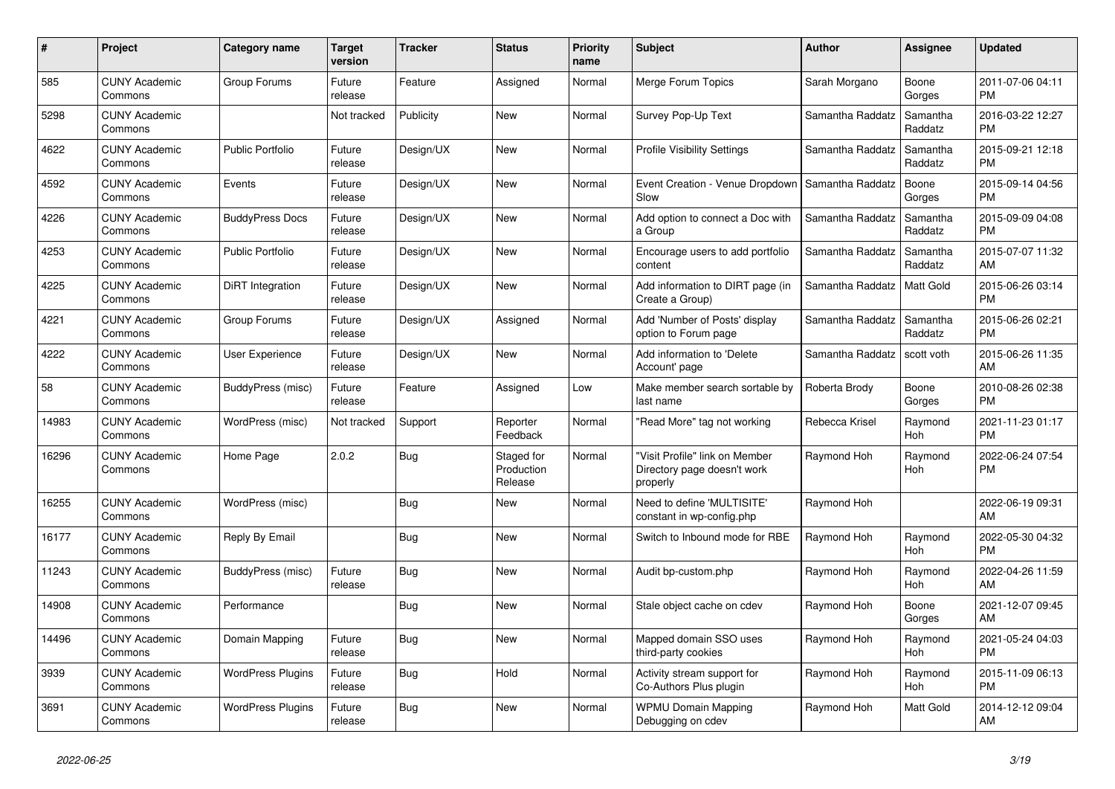| $\#$  | Project                         | Category name            | <b>Target</b><br>version | <b>Tracker</b> | <b>Status</b>                       | <b>Priority</b><br>name | <b>Subject</b>                                                            | <b>Author</b>    | <b>Assignee</b>     | <b>Updated</b>                |
|-------|---------------------------------|--------------------------|--------------------------|----------------|-------------------------------------|-------------------------|---------------------------------------------------------------------------|------------------|---------------------|-------------------------------|
| 585   | <b>CUNY Academic</b><br>Commons | Group Forums             | Future<br>release        | Feature        | Assigned                            | Normal                  | Merge Forum Topics                                                        | Sarah Morgano    | Boone<br>Gorges     | 2011-07-06 04:11<br><b>PM</b> |
| 5298  | <b>CUNY Academic</b><br>Commons |                          | Not tracked              | Publicity      | <b>New</b>                          | Normal                  | Survey Pop-Up Text                                                        | Samantha Raddatz | Samantha<br>Raddatz | 2016-03-22 12:27<br><b>PM</b> |
| 4622  | <b>CUNY Academic</b><br>Commons | <b>Public Portfolio</b>  | Future<br>release        | Design/UX      | <b>New</b>                          | Normal                  | Profile Visibility Settings                                               | Samantha Raddatz | Samantha<br>Raddatz | 2015-09-21 12:18<br><b>PM</b> |
| 4592  | <b>CUNY Academic</b><br>Commons | Events                   | Future<br>release        | Design/UX      | <b>New</b>                          | Normal                  | Event Creation - Venue Dropdown<br>Slow                                   | Samantha Raddatz | Boone<br>Gorges     | 2015-09-14 04:56<br><b>PM</b> |
| 4226  | <b>CUNY Academic</b><br>Commons | <b>BuddyPress Docs</b>   | Future<br>release        | Design/UX      | New                                 | Normal                  | Add option to connect a Doc with<br>a Group                               | Samantha Raddatz | Samantha<br>Raddatz | 2015-09-09 04:08<br><b>PM</b> |
| 4253  | <b>CUNY Academic</b><br>Commons | <b>Public Portfolio</b>  | Future<br>release        | Design/UX      | New                                 | Normal                  | Encourage users to add portfolio<br>content                               | Samantha Raddatz | Samantha<br>Raddatz | 2015-07-07 11:32<br>AM        |
| 4225  | <b>CUNY Academic</b><br>Commons | DiRT Integration         | Future<br>release        | Design/UX      | <b>New</b>                          | Normal                  | Add information to DIRT page (in<br>Create a Group)                       | Samantha Raddatz | <b>Matt Gold</b>    | 2015-06-26 03:14<br><b>PM</b> |
| 4221  | <b>CUNY Academic</b><br>Commons | Group Forums             | Future<br>release        | Design/UX      | Assigned                            | Normal                  | Add 'Number of Posts' display<br>option to Forum page                     | Samantha Raddatz | Samantha<br>Raddatz | 2015-06-26 02:21<br><b>PM</b> |
| 4222  | <b>CUNY Academic</b><br>Commons | User Experience          | Future<br>release        | Design/UX      | <b>New</b>                          | Normal                  | Add information to 'Delete<br>Account' page                               | Samantha Raddatz | scott voth          | 2015-06-26 11:35<br>AM        |
| 58    | <b>CUNY Academic</b><br>Commons | BuddyPress (misc)        | Future<br>release        | Feature        | Assigned                            | Low                     | Make member search sortable by<br>last name                               | Roberta Brody    | Boone<br>Gorges     | 2010-08-26 02:38<br><b>PM</b> |
| 14983 | <b>CUNY Academic</b><br>Commons | WordPress (misc)         | Not tracked              | Support        | Reporter<br>Feedback                | Normal                  | 'Read More" tag not working                                               | Rebecca Krisel   | Raymond<br>Hoh      | 2021-11-23 01:17<br><b>PM</b> |
| 16296 | <b>CUNY Academic</b><br>Commons | Home Page                | 2.0.2                    | <b>Bug</b>     | Staged for<br>Production<br>Release | Normal                  | "Visit Profile" link on Member<br>Directory page doesn't work<br>properly | Raymond Hoh      | Raymond<br>Hoh      | 2022-06-24 07:54<br><b>PM</b> |
| 16255 | <b>CUNY Academic</b><br>Commons | WordPress (misc)         |                          | Bug            | <b>New</b>                          | Normal                  | Need to define 'MULTISITE'<br>constant in wp-config.php                   | Raymond Hoh      |                     | 2022-06-19 09:31<br>AM        |
| 16177 | <b>CUNY Academic</b><br>Commons | Reply By Email           |                          | Bug            | New                                 | Normal                  | Switch to Inbound mode for RBE                                            | Raymond Hoh      | Raymond<br>Hoh      | 2022-05-30 04:32<br><b>PM</b> |
| 11243 | <b>CUNY Academic</b><br>Commons | BuddyPress (misc)        | Future<br>release        | <b>Bug</b>     | <b>New</b>                          | Normal                  | Audit bp-custom.php                                                       | Raymond Hoh      | Raymond<br>Hoh      | 2022-04-26 11:59<br>AM        |
| 14908 | <b>CUNY Academic</b><br>Commons | Performance              |                          | <b>Bug</b>     | <b>New</b>                          | Normal                  | Stale object cache on cdev                                                | Raymond Hoh      | Boone<br>Gorges     | 2021-12-07 09:45<br>AM        |
| 14496 | <b>CUNY Academic</b><br>Commons | Domain Mapping           | Future<br>release        | <b>Bug</b>     | <b>New</b>                          | Normal                  | Mapped domain SSO uses<br>third-party cookies                             | Raymond Hoh      | Raymond<br>Hoh      | 2021-05-24 04:03<br><b>PM</b> |
| 3939  | <b>CUNY Academic</b><br>Commons | <b>WordPress Plugins</b> | Future<br>release        | Bug            | Hold                                | Normal                  | Activity stream support for<br>Co-Authors Plus plugin                     | Raymond Hoh      | Raymond<br>Hoh      | 2015-11-09 06:13<br><b>PM</b> |
| 3691  | <b>CUNY Academic</b><br>Commons | <b>WordPress Plugins</b> | Future<br>release        | <b>Bug</b>     | <b>New</b>                          | Normal                  | <b>WPMU Domain Mapping</b><br>Debugging on cdev                           | Raymond Hoh      | Matt Gold           | 2014-12-12 09:04<br>AM        |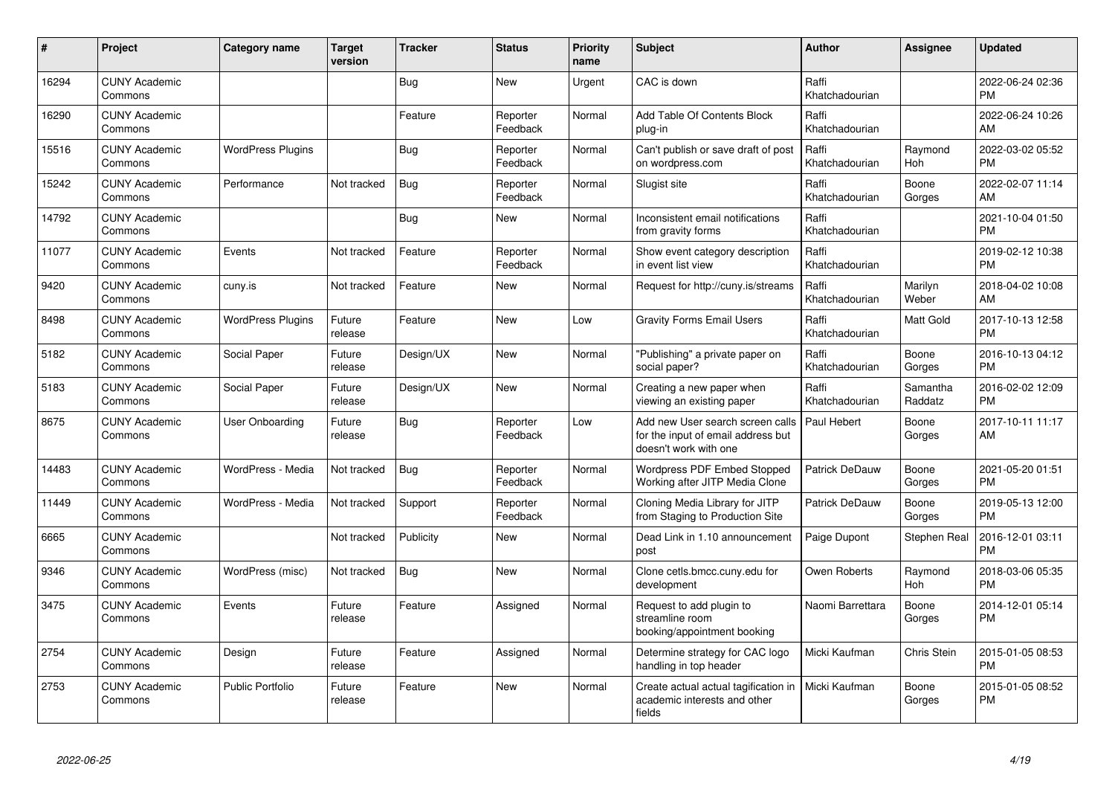| #     | Project                         | <b>Category name</b>     | <b>Target</b><br>version | <b>Tracker</b> | <b>Status</b>        | <b>Priority</b><br>name | <b>Subject</b>                                                                                  | Author                  | <b>Assignee</b>     | <b>Updated</b>                |
|-------|---------------------------------|--------------------------|--------------------------|----------------|----------------------|-------------------------|-------------------------------------------------------------------------------------------------|-------------------------|---------------------|-------------------------------|
| 16294 | <b>CUNY Academic</b><br>Commons |                          |                          | <b>Bug</b>     | <b>New</b>           | Urgent                  | CAC is down                                                                                     | Raffi<br>Khatchadourian |                     | 2022-06-24 02:36<br><b>PM</b> |
| 16290 | <b>CUNY Academic</b><br>Commons |                          |                          | Feature        | Reporter<br>Feedback | Normal                  | Add Table Of Contents Block<br>plug-in                                                          | Raffi<br>Khatchadourian |                     | 2022-06-24 10:26<br>AM        |
| 15516 | <b>CUNY Academic</b><br>Commons | <b>WordPress Plugins</b> |                          | <b>Bug</b>     | Reporter<br>Feedback | Normal                  | Can't publish or save draft of post<br>on wordpress.com                                         | Raffi<br>Khatchadourian | Raymond<br>Hoh      | 2022-03-02 05:52<br><b>PM</b> |
| 15242 | <b>CUNY Academic</b><br>Commons | Performance              | Not tracked              | <b>Bug</b>     | Reporter<br>Feedback | Normal                  | Slugist site                                                                                    | Raffi<br>Khatchadourian | Boone<br>Gorges     | 2022-02-07 11:14<br>AM        |
| 14792 | <b>CUNY Academic</b><br>Commons |                          |                          | <b>Bug</b>     | <b>New</b>           | Normal                  | Inconsistent email notifications<br>from gravity forms                                          | Raffi<br>Khatchadourian |                     | 2021-10-04 01:50<br><b>PM</b> |
| 11077 | <b>CUNY Academic</b><br>Commons | Events                   | Not tracked              | Feature        | Reporter<br>Feedback | Normal                  | Show event category description<br>in event list view                                           | Raffi<br>Khatchadourian |                     | 2019-02-12 10:38<br><b>PM</b> |
| 9420  | <b>CUNY Academic</b><br>Commons | cuny.is                  | Not tracked              | Feature        | <b>New</b>           | Normal                  | Request for http://cuny.is/streams                                                              | Raffi<br>Khatchadourian | Marilyn<br>Weber    | 2018-04-02 10:08<br>AM        |
| 8498  | <b>CUNY Academic</b><br>Commons | <b>WordPress Plugins</b> | Future<br>release        | Feature        | <b>New</b>           | Low                     | <b>Gravity Forms Email Users</b>                                                                | Raffi<br>Khatchadourian | Matt Gold           | 2017-10-13 12:58<br><b>PM</b> |
| 5182  | <b>CUNY Academic</b><br>Commons | Social Paper             | Future<br>release        | Design/UX      | <b>New</b>           | Normal                  | 'Publishing" a private paper on<br>social paper?                                                | Raffi<br>Khatchadourian | Boone<br>Gorges     | 2016-10-13 04:12<br><b>PM</b> |
| 5183  | <b>CUNY Academic</b><br>Commons | Social Paper             | Future<br>release        | Design/UX      | New                  | Normal                  | Creating a new paper when<br>viewing an existing paper                                          | Raffi<br>Khatchadourian | Samantha<br>Raddatz | 2016-02-02 12:09<br><b>PM</b> |
| 8675  | <b>CUNY Academic</b><br>Commons | User Onboarding          | Future<br>release        | Bug            | Reporter<br>Feedback | Low                     | Add new User search screen calls<br>for the input of email address but<br>doesn't work with one | Paul Hebert             | Boone<br>Gorges     | 2017-10-11 11:17<br>AM        |
| 14483 | <b>CUNY Academic</b><br>Commons | WordPress - Media        | Not tracked              | Bug            | Reporter<br>Feedback | Normal                  | <b>Wordpress PDF Embed Stopped</b><br>Working after JITP Media Clone                            | Patrick DeDauw          | Boone<br>Gorges     | 2021-05-20 01:51<br><b>PM</b> |
| 11449 | <b>CUNY Academic</b><br>Commons | WordPress - Media        | Not tracked              | Support        | Reporter<br>Feedback | Normal                  | Cloning Media Library for JITP<br>from Staging to Production Site                               | Patrick DeDauw          | Boone<br>Gorges     | 2019-05-13 12:00<br><b>PM</b> |
| 6665  | <b>CUNY Academic</b><br>Commons |                          | Not tracked              | Publicity      | <b>New</b>           | Normal                  | Dead Link in 1.10 announcement<br>post                                                          | Paige Dupont            | <b>Stephen Real</b> | 2016-12-01 03:11<br><b>PM</b> |
| 9346  | <b>CUNY Academic</b><br>Commons | WordPress (misc)         | Not tracked              | Bug            | <b>New</b>           | Normal                  | Clone cetls.bmcc.cuny.edu for<br>development                                                    | Owen Roberts            | Raymond<br>Hoh      | 2018-03-06 05:35<br><b>PM</b> |
| 3475  | <b>CUNY Academic</b><br>Commons | Events                   | Future<br>release        | Feature        | Assigned             | Normal                  | Request to add plugin to<br>streamline room<br>booking/appointment booking                      | Naomi Barrettara        | Boone<br>Gorges     | 2014-12-01 05:14<br><b>PM</b> |
| 2754  | <b>CUNY Academic</b><br>Commons | Design                   | Future<br>release        | Feature        | Assigned             | Normal                  | Determine strategy for CAC logo<br>handling in top header                                       | Micki Kaufman           | Chris Stein         | 2015-01-05 08:53<br><b>PM</b> |
| 2753  | <b>CUNY Academic</b><br>Commons | <b>Public Portfolio</b>  | Future<br>release        | Feature        | <b>New</b>           | Normal                  | Create actual actual tagification in<br>academic interests and other<br>fields                  | l Micki Kaufman         | Boone<br>Gorges     | 2015-01-05 08:52<br><b>PM</b> |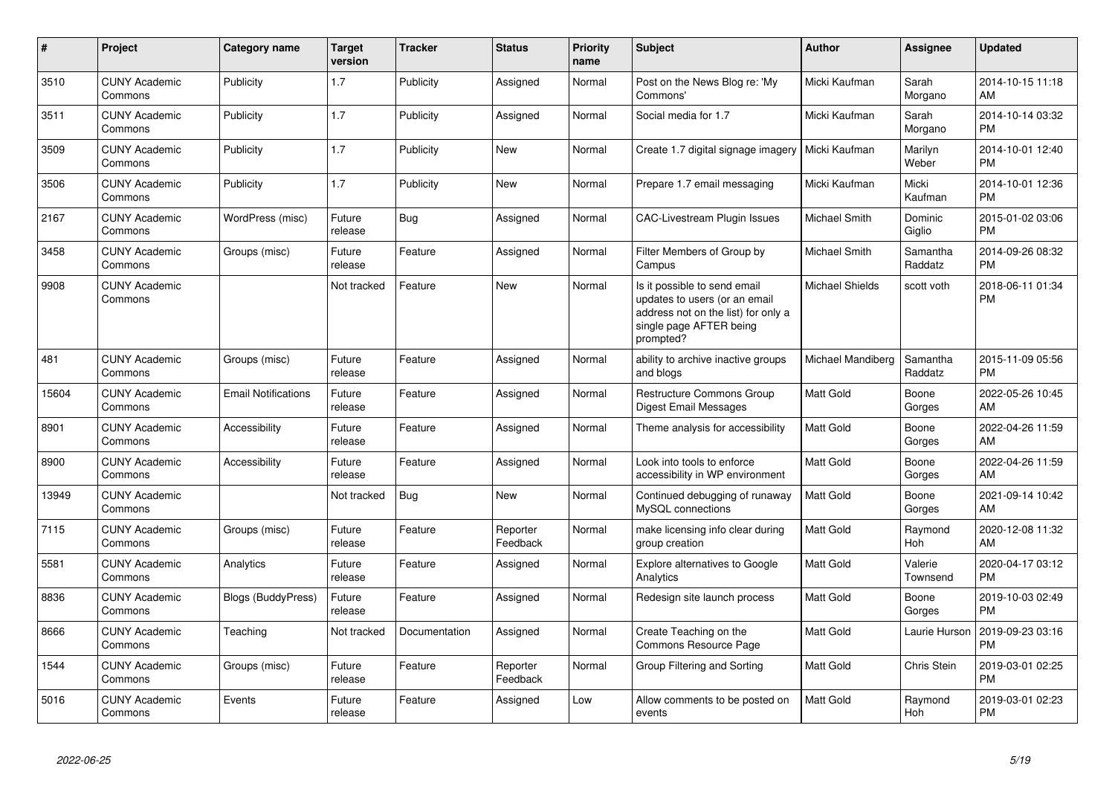| $\pmb{\#}$ | Project                         | <b>Category name</b>       | <b>Target</b><br>version | <b>Tracker</b> | <b>Status</b>        | <b>Priority</b><br>name | <b>Subject</b>                                                                                                                               | Author                 | <b>Assignee</b>     | <b>Updated</b>                |
|------------|---------------------------------|----------------------------|--------------------------|----------------|----------------------|-------------------------|----------------------------------------------------------------------------------------------------------------------------------------------|------------------------|---------------------|-------------------------------|
| 3510       | <b>CUNY Academic</b><br>Commons | Publicity                  | 1.7                      | Publicity      | Assigned             | Normal                  | Post on the News Blog re: 'My<br>Commons'                                                                                                    | Micki Kaufman          | Sarah<br>Morgano    | 2014-10-15 11:18<br>AM        |
| 3511       | <b>CUNY Academic</b><br>Commons | Publicity                  | 1.7                      | Publicity      | Assigned             | Normal                  | Social media for 1.7                                                                                                                         | Micki Kaufman          | Sarah<br>Morgano    | 2014-10-14 03:32<br><b>PM</b> |
| 3509       | <b>CUNY Academic</b><br>Commons | Publicity                  | 1.7                      | Publicity      | New                  | Normal                  | Create 1.7 digital signage imagery                                                                                                           | Micki Kaufman          | Marilyn<br>Weber    | 2014-10-01 12:40<br><b>PM</b> |
| 3506       | <b>CUNY Academic</b><br>Commons | Publicity                  | 1.7                      | Publicity      | <b>New</b>           | Normal                  | Prepare 1.7 email messaging                                                                                                                  | Micki Kaufman          | Micki<br>Kaufman    | 2014-10-01 12:36<br><b>PM</b> |
| 2167       | <b>CUNY Academic</b><br>Commons | WordPress (misc)           | Future<br>release        | Bug            | Assigned             | Normal                  | <b>CAC-Livestream Plugin Issues</b>                                                                                                          | Michael Smith          | Dominic<br>Giglio   | 2015-01-02 03:06<br><b>PM</b> |
| 3458       | <b>CUNY Academic</b><br>Commons | Groups (misc)              | Future<br>release        | Feature        | Assigned             | Normal                  | Filter Members of Group by<br>Campus                                                                                                         | Michael Smith          | Samantha<br>Raddatz | 2014-09-26 08:32<br><b>PM</b> |
| 9908       | <b>CUNY Academic</b><br>Commons |                            | Not tracked              | Feature        | <b>New</b>           | Normal                  | Is it possible to send email<br>updates to users (or an email<br>address not on the list) for only a<br>single page AFTER being<br>prompted? | <b>Michael Shields</b> | scott voth          | 2018-06-11 01:34<br><b>PM</b> |
| 481        | <b>CUNY Academic</b><br>Commons | Groups (misc)              | Future<br>release        | Feature        | Assigned             | Normal                  | ability to archive inactive groups<br>and blogs                                                                                              | Michael Mandiberg      | Samantha<br>Raddatz | 2015-11-09 05:56<br><b>PM</b> |
| 15604      | <b>CUNY Academic</b><br>Commons | <b>Email Notifications</b> | Future<br>release        | Feature        | Assigned             | Normal                  | <b>Restructure Commons Group</b><br><b>Digest Email Messages</b>                                                                             | Matt Gold              | Boone<br>Gorges     | 2022-05-26 10:45<br>AM        |
| 8901       | <b>CUNY Academic</b><br>Commons | Accessibility              | Future<br>release        | Feature        | Assigned             | Normal                  | Theme analysis for accessibility                                                                                                             | <b>Matt Gold</b>       | Boone<br>Gorges     | 2022-04-26 11:59<br>AM        |
| 8900       | <b>CUNY Academic</b><br>Commons | Accessibility              | Future<br>release        | Feature        | Assigned             | Normal                  | Look into tools to enforce<br>accessibility in WP environment                                                                                | <b>Matt Gold</b>       | Boone<br>Gorges     | 2022-04-26 11:59<br>AM        |
| 13949      | <b>CUNY Academic</b><br>Commons |                            | Not tracked              | Bug            | <b>New</b>           | Normal                  | Continued debugging of runaway<br>MySQL connections                                                                                          | <b>Matt Gold</b>       | Boone<br>Gorges     | 2021-09-14 10:42<br>AM        |
| 7115       | <b>CUNY Academic</b><br>Commons | Groups (misc)              | Future<br>release        | Feature        | Reporter<br>Feedback | Normal                  | make licensing info clear during<br>group creation                                                                                           | <b>Matt Gold</b>       | Raymond<br>Hoh      | 2020-12-08 11:32<br>AM        |
| 5581       | <b>CUNY Academic</b><br>Commons | Analytics                  | Future<br>release        | Feature        | Assigned             | Normal                  | <b>Explore alternatives to Google</b><br>Analytics                                                                                           | <b>Matt Gold</b>       | Valerie<br>Townsend | 2020-04-17 03:12<br><b>PM</b> |
| 8836       | <b>CUNY Academic</b><br>Commons | <b>Blogs (BuddyPress)</b>  | Future<br>release        | Feature        | Assigned             | Normal                  | Redesign site launch process                                                                                                                 | <b>Matt Gold</b>       | Boone<br>Gorges     | 2019-10-03 02:49<br><b>PM</b> |
| 8666       | <b>CUNY Academic</b><br>Commons | Teaching                   | Not tracked              | Documentation  | Assigned             | Normal                  | Create Teaching on the<br>Commons Resource Page                                                                                              | Matt Gold              | Laurie Hurson       | 2019-09-23 03:16<br><b>PM</b> |
| 1544       | <b>CUNY Academic</b><br>Commons | Groups (misc)              | Future<br>release        | Feature        | Reporter<br>Feedback | Normal                  | Group Filtering and Sorting                                                                                                                  | Matt Gold              | Chris Stein         | 2019-03-01 02:25<br><b>PM</b> |
| 5016       | <b>CUNY Academic</b><br>Commons | Events                     | Future<br>release        | Feature        | Assigned             | Low                     | Allow comments to be posted on<br>events                                                                                                     | <b>Matt Gold</b>       | Raymond<br>Hoh      | 2019-03-01 02:23<br>PM        |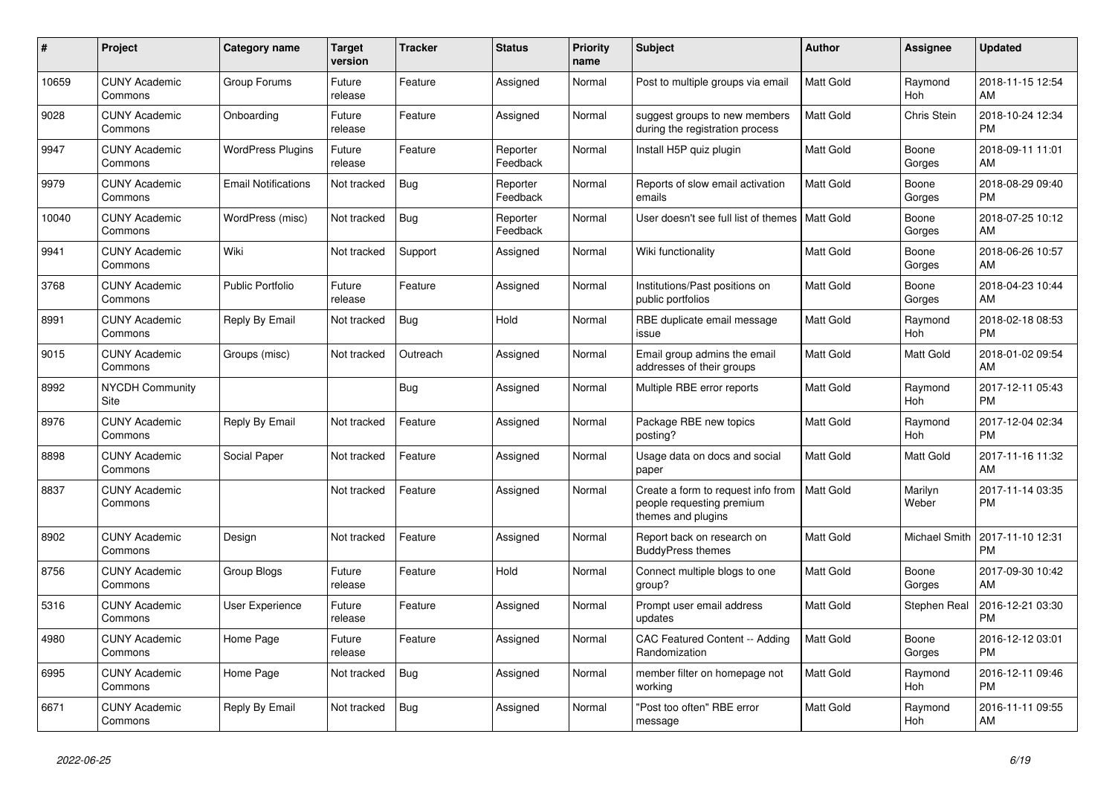| #     | <b>Project</b>                  | Category name              | <b>Target</b><br>version | <b>Tracker</b> | <b>Status</b>        | <b>Priority</b><br>name | <b>Subject</b>                                                                        | <b>Author</b>    | <b>Assignee</b>       | <b>Updated</b>                |
|-------|---------------------------------|----------------------------|--------------------------|----------------|----------------------|-------------------------|---------------------------------------------------------------------------------------|------------------|-----------------------|-------------------------------|
| 10659 | <b>CUNY Academic</b><br>Commons | Group Forums               | Future<br>release        | Feature        | Assigned             | Normal                  | Post to multiple groups via email                                                     | <b>Matt Gold</b> | Raymond<br><b>Hoh</b> | 2018-11-15 12:54<br>AM        |
| 9028  | <b>CUNY Academic</b><br>Commons | Onboarding                 | Future<br>release        | Feature        | Assigned             | Normal                  | suggest groups to new members<br>during the registration process                      | <b>Matt Gold</b> | Chris Stein           | 2018-10-24 12:34<br><b>PM</b> |
| 9947  | <b>CUNY Academic</b><br>Commons | <b>WordPress Plugins</b>   | Future<br>release        | Feature        | Reporter<br>Feedback | Normal                  | Install H5P quiz plugin                                                               | Matt Gold        | Boone<br>Gorges       | 2018-09-11 11:01<br>AM        |
| 9979  | <b>CUNY Academic</b><br>Commons | <b>Email Notifications</b> | Not tracked              | Bug            | Reporter<br>Feedback | Normal                  | Reports of slow email activation<br>emails                                            | <b>Matt Gold</b> | Boone<br>Gorges       | 2018-08-29 09:40<br><b>PM</b> |
| 10040 | <b>CUNY Academic</b><br>Commons | WordPress (misc)           | Not tracked              | Bug            | Reporter<br>Feedback | Normal                  | User doesn't see full list of themes                                                  | <b>Matt Gold</b> | Boone<br>Gorges       | 2018-07-25 10:12<br>AM        |
| 9941  | <b>CUNY Academic</b><br>Commons | Wiki                       | Not tracked              | Support        | Assigned             | Normal                  | Wiki functionality                                                                    | Matt Gold        | Boone<br>Gorges       | 2018-06-26 10:57<br>AM        |
| 3768  | <b>CUNY Academic</b><br>Commons | <b>Public Portfolio</b>    | Future<br>release        | Feature        | Assigned             | Normal                  | Institutions/Past positions on<br>public portfolios                                   | <b>Matt Gold</b> | Boone<br>Gorges       | 2018-04-23 10:44<br>AM        |
| 8991  | <b>CUNY Academic</b><br>Commons | Reply By Email             | Not tracked              | Bug            | Hold                 | Normal                  | RBE duplicate email message<br>issue                                                  | <b>Matt Gold</b> | Raymond<br>Hoh        | 2018-02-18 08:53<br><b>PM</b> |
| 9015  | <b>CUNY Academic</b><br>Commons | Groups (misc)              | Not tracked              | Outreach       | Assigned             | Normal                  | Email group admins the email<br>addresses of their groups                             | Matt Gold        | Matt Gold             | 2018-01-02 09:54<br>AM        |
| 8992  | NYCDH Community<br>Site         |                            |                          | Bug            | Assigned             | Normal                  | Multiple RBE error reports                                                            | <b>Matt Gold</b> | Raymond<br>Hoh        | 2017-12-11 05:43<br><b>PM</b> |
| 8976  | <b>CUNY Academic</b><br>Commons | Reply By Email             | Not tracked              | Feature        | Assigned             | Normal                  | Package RBE new topics<br>posting?                                                    | <b>Matt Gold</b> | Raymond<br>Hoh        | 2017-12-04 02:34<br><b>PM</b> |
| 8898  | <b>CUNY Academic</b><br>Commons | Social Paper               | Not tracked              | Feature        | Assigned             | Normal                  | Usage data on docs and social<br>paper                                                | <b>Matt Gold</b> | Matt Gold             | 2017-11-16 11:32<br>AM        |
| 8837  | <b>CUNY Academic</b><br>Commons |                            | Not tracked              | Feature        | Assigned             | Normal                  | Create a form to request info from<br>people requesting premium<br>themes and plugins | <b>Matt Gold</b> | Marilyn<br>Weber      | 2017-11-14 03:35<br><b>PM</b> |
| 8902  | <b>CUNY Academic</b><br>Commons | Design                     | Not tracked              | Feature        | Assigned             | Normal                  | Report back on research on<br><b>BuddyPress themes</b>                                | <b>Matt Gold</b> | Michael Smith         | 2017-11-10 12:31<br><b>PM</b> |
| 8756  | <b>CUNY Academic</b><br>Commons | Group Blogs                | Future<br>release        | Feature        | Hold                 | Normal                  | Connect multiple blogs to one<br>group?                                               | Matt Gold        | Boone<br>Gorges       | 2017-09-30 10:42<br>AM        |
| 5316  | <b>CUNY Academic</b><br>Commons | <b>User Experience</b>     | Future<br>release        | Feature        | Assigned             | Normal                  | Prompt user email address<br>updates                                                  | Matt Gold        | Stephen Real          | 2016-12-21 03:30<br><b>PM</b> |
| 4980  | <b>CUNY Academic</b><br>Commons | Home Page                  | Future<br>release        | Feature        | Assigned             | Normal                  | <b>CAC Featured Content -- Adding</b><br>Randomization                                | <b>Matt Gold</b> | Boone<br>Gorges       | 2016-12-12 03:01<br><b>PM</b> |
| 6995  | <b>CUNY Academic</b><br>Commons | Home Page                  | Not tracked              | <b>Bug</b>     | Assigned             | Normal                  | member filter on homepage not<br>working                                              | <b>Matt Gold</b> | Raymond<br>Hoh        | 2016-12-11 09:46<br><b>PM</b> |
| 6671  | <b>CUNY Academic</b><br>Commons | Reply By Email             | Not tracked              | Bug            | Assigned             | Normal                  | 'Post too often" RBE error<br>message                                                 | <b>Matt Gold</b> | Raymond<br>Hoh        | 2016-11-11 09:55<br>AM        |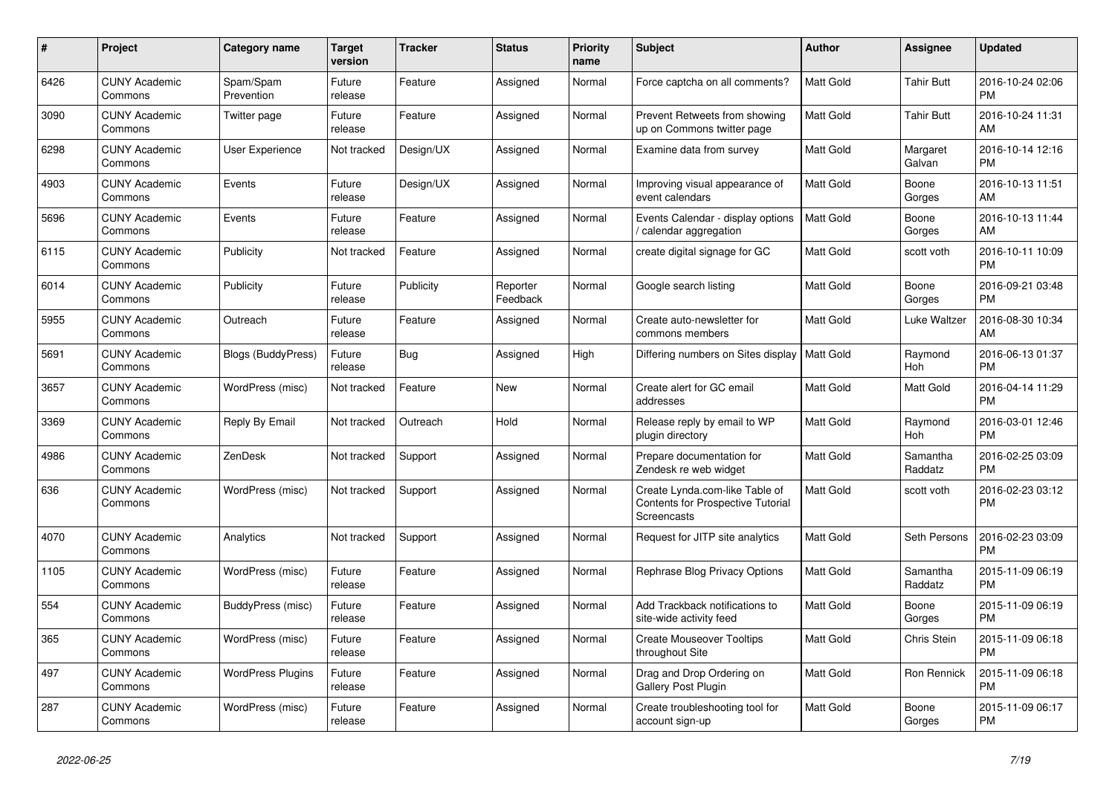| $\pmb{\#}$ | <b>Project</b>                  | Category name            | <b>Target</b><br>version | <b>Tracker</b> | <b>Status</b>        | <b>Priority</b><br>name | <b>Subject</b>                                                                            | <b>Author</b>    | <b>Assignee</b>     | <b>Updated</b>                |
|------------|---------------------------------|--------------------------|--------------------------|----------------|----------------------|-------------------------|-------------------------------------------------------------------------------------------|------------------|---------------------|-------------------------------|
| 6426       | <b>CUNY Academic</b><br>Commons | Spam/Spam<br>Prevention  | Future<br>release        | Feature        | Assigned             | Normal                  | Force captcha on all comments?                                                            | <b>Matt Gold</b> | <b>Tahir Butt</b>   | 2016-10-24 02:06<br><b>PM</b> |
| 3090       | <b>CUNY Academic</b><br>Commons | Twitter page             | Future<br>release        | Feature        | Assigned             | Normal                  | Prevent Retweets from showing<br>up on Commons twitter page                               | <b>Matt Gold</b> | Tahir Butt          | 2016-10-24 11:31<br>AM        |
| 6298       | <b>CUNY Academic</b><br>Commons | User Experience          | Not tracked              | Design/UX      | Assigned             | Normal                  | Examine data from survey                                                                  | Matt Gold        | Margaret<br>Galvan  | 2016-10-14 12:16<br><b>PM</b> |
| 4903       | <b>CUNY Academic</b><br>Commons | Events                   | Future<br>release        | Design/UX      | Assigned             | Normal                  | Improving visual appearance of<br>event calendars                                         | <b>Matt Gold</b> | Boone<br>Gorges     | 2016-10-13 11:51<br>AM        |
| 5696       | <b>CUNY Academic</b><br>Commons | Events                   | Future<br>release        | Feature        | Assigned             | Normal                  | Events Calendar - display options<br>calendar aggregation                                 | Matt Gold        | Boone<br>Gorges     | 2016-10-13 11:44<br>AM        |
| 6115       | <b>CUNY Academic</b><br>Commons | Publicity                | Not tracked              | Feature        | Assigned             | Normal                  | create digital signage for GC                                                             | Matt Gold        | scott voth          | 2016-10-11 10:09<br><b>PM</b> |
| 6014       | <b>CUNY Academic</b><br>Commons | Publicity                | Future<br>release        | Publicity      | Reporter<br>Feedback | Normal                  | Google search listing                                                                     | <b>Matt Gold</b> | Boone<br>Gorges     | 2016-09-21 03:48<br><b>PM</b> |
| 5955       | <b>CUNY Academic</b><br>Commons | Outreach                 | Future<br>release        | Feature        | Assigned             | Normal                  | Create auto-newsletter for<br>commons members                                             | Matt Gold        | Luke Waltzer        | 2016-08-30 10:34<br>AM        |
| 5691       | <b>CUNY Academic</b><br>Commons | Blogs (BuddyPress)       | Future<br>release        | <b>Bug</b>     | Assigned             | High                    | Differing numbers on Sites display   Matt Gold                                            |                  | Raymond<br>Hoh      | 2016-06-13 01:37<br><b>PM</b> |
| 3657       | <b>CUNY Academic</b><br>Commons | WordPress (misc)         | Not tracked              | Feature        | <b>New</b>           | Normal                  | Create alert for GC email<br>addresses                                                    | <b>Matt Gold</b> | <b>Matt Gold</b>    | 2016-04-14 11:29<br><b>PM</b> |
| 3369       | <b>CUNY Academic</b><br>Commons | Reply By Email           | Not tracked              | Outreach       | Hold                 | Normal                  | Release reply by email to WP<br>plugin directory                                          | <b>Matt Gold</b> | Raymond<br>Hoh      | 2016-03-01 12:46<br><b>PM</b> |
| 4986       | <b>CUNY Academic</b><br>Commons | ZenDesk                  | Not tracked              | Support        | Assigned             | Normal                  | Prepare documentation for<br>Zendesk re web widget                                        | Matt Gold        | Samantha<br>Raddatz | 2016-02-25 03:09<br><b>PM</b> |
| 636        | <b>CUNY Academic</b><br>Commons | WordPress (misc)         | Not tracked              | Support        | Assigned             | Normal                  | Create Lynda.com-like Table of<br><b>Contents for Prospective Tutorial</b><br>Screencasts | Matt Gold        | scott voth          | 2016-02-23 03:12<br><b>PM</b> |
| 4070       | <b>CUNY Academic</b><br>Commons | Analytics                | Not tracked              | Support        | Assigned             | Normal                  | Request for JITP site analytics                                                           | <b>Matt Gold</b> | Seth Persons        | 2016-02-23 03:09<br><b>PM</b> |
| 1105       | <b>CUNY Academic</b><br>Commons | WordPress (misc)         | Future<br>release        | Feature        | Assigned             | Normal                  | Rephrase Blog Privacy Options                                                             | Matt Gold        | Samantha<br>Raddatz | 2015-11-09 06:19<br><b>PM</b> |
| 554        | <b>CUNY Academic</b><br>Commons | BuddyPress (misc)        | Future<br>release        | Feature        | Assigned             | Normal                  | Add Trackback notifications to<br>site-wide activity feed                                 | Matt Gold        | Boone<br>Gorges     | 2015-11-09 06:19<br><b>PM</b> |
| 365        | <b>CUNY Academic</b><br>Commons | WordPress (misc)         | Future<br>release        | Feature        | Assigned             | Normal                  | <b>Create Mouseover Tooltips</b><br>throughout Site                                       | <b>Matt Gold</b> | Chris Stein         | 2015-11-09 06:18<br><b>PM</b> |
| 497        | <b>CUNY Academic</b><br>Commons | <b>WordPress Plugins</b> | Future<br>release        | Feature        | Assigned             | Normal                  | Drag and Drop Ordering on<br>Gallery Post Plugin                                          | <b>Matt Gold</b> | Ron Rennick         | 2015-11-09 06:18<br><b>PM</b> |
| 287        | <b>CUNY Academic</b><br>Commons | WordPress (misc)         | Future<br>release        | Feature        | Assigned             | Normal                  | Create troubleshooting tool for<br>account sign-up                                        | <b>Matt Gold</b> | Boone<br>Gorges     | 2015-11-09 06:17<br><b>PM</b> |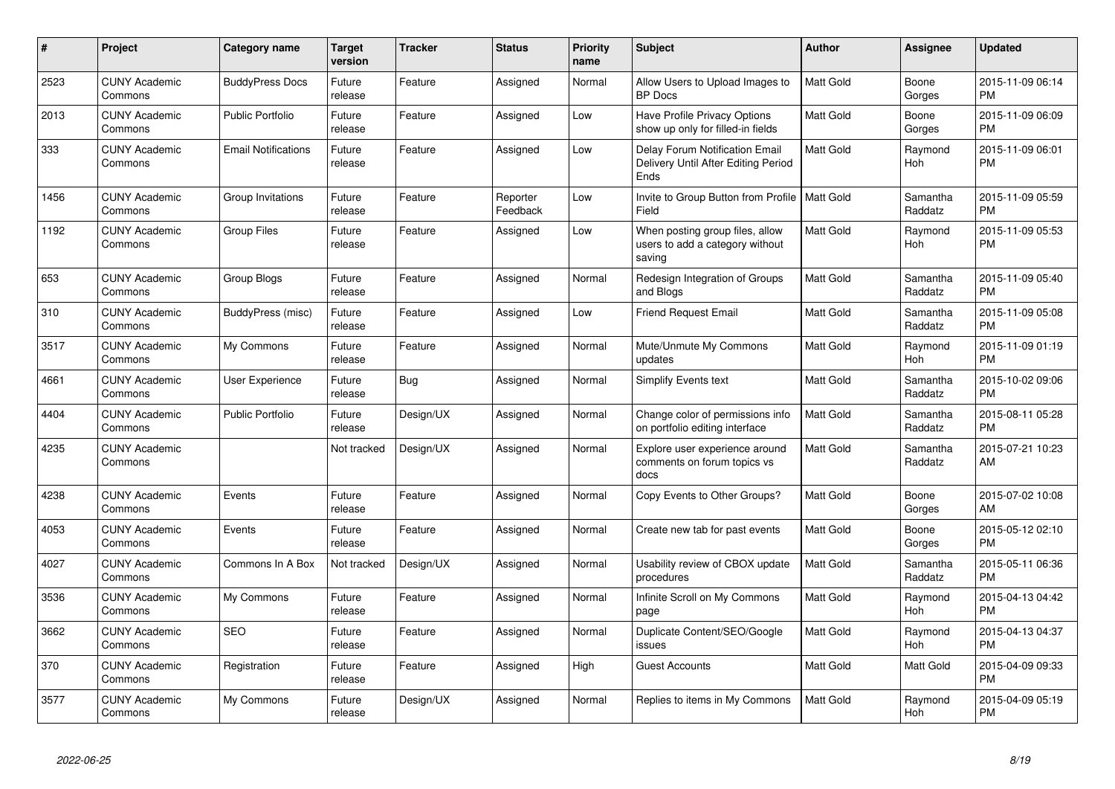| #    | <b>Project</b>                  | <b>Category name</b>       | <b>Target</b><br>version | <b>Tracker</b> | <b>Status</b>        | <b>Priority</b><br>name | <b>Subject</b>                                                                       | <b>Author</b>    | Assignee              | <b>Updated</b>                |
|------|---------------------------------|----------------------------|--------------------------|----------------|----------------------|-------------------------|--------------------------------------------------------------------------------------|------------------|-----------------------|-------------------------------|
| 2523 | <b>CUNY Academic</b><br>Commons | <b>BuddyPress Docs</b>     | Future<br>release        | Feature        | Assigned             | Normal                  | Allow Users to Upload Images to<br><b>BP</b> Docs                                    | Matt Gold        | Boone<br>Gorges       | 2015-11-09 06:14<br><b>PM</b> |
| 2013 | <b>CUNY Academic</b><br>Commons | <b>Public Portfolio</b>    | Future<br>release        | Feature        | Assigned             | Low                     | Have Profile Privacy Options<br>show up only for filled-in fields                    | Matt Gold        | Boone<br>Gorges       | 2015-11-09 06:09<br><b>PM</b> |
| 333  | <b>CUNY Academic</b><br>Commons | <b>Email Notifications</b> | Future<br>release        | Feature        | Assigned             | Low                     | <b>Delay Forum Notification Email</b><br>Delivery Until After Editing Period<br>Ends | <b>Matt Gold</b> | Raymond<br>Hoh        | 2015-11-09 06:01<br><b>PM</b> |
| 1456 | <b>CUNY Academic</b><br>Commons | Group Invitations          | Future<br>release        | Feature        | Reporter<br>Feedback | Low                     | Invite to Group Button from Profile   Matt Gold<br>Field                             |                  | Samantha<br>Raddatz   | 2015-11-09 05:59<br><b>PM</b> |
| 1192 | <b>CUNY Academic</b><br>Commons | <b>Group Files</b>         | Future<br>release        | Feature        | Assigned             | Low                     | When posting group files, allow<br>users to add a category without<br>saving         | Matt Gold        | Raymond<br>Hoh        | 2015-11-09 05:53<br><b>PM</b> |
| 653  | <b>CUNY Academic</b><br>Commons | Group Blogs                | Future<br>release        | Feature        | Assigned             | Normal                  | Redesign Integration of Groups<br>and Blogs                                          | <b>Matt Gold</b> | Samantha<br>Raddatz   | 2015-11-09 05:40<br><b>PM</b> |
| 310  | <b>CUNY Academic</b><br>Commons | BuddyPress (misc)          | Future<br>release        | Feature        | Assigned             | Low                     | <b>Friend Request Email</b>                                                          | Matt Gold        | Samantha<br>Raddatz   | 2015-11-09 05:08<br><b>PM</b> |
| 3517 | <b>CUNY Academic</b><br>Commons | My Commons                 | Future<br>release        | Feature        | Assigned             | Normal                  | Mute/Unmute My Commons<br>updates                                                    | <b>Matt Gold</b> | Raymond<br>Hoh        | 2015-11-09 01:19<br><b>PM</b> |
| 4661 | <b>CUNY Academic</b><br>Commons | <b>User Experience</b>     | Future<br>release        | Bug            | Assigned             | Normal                  | Simplify Events text                                                                 | Matt Gold        | Samantha<br>Raddatz   | 2015-10-02 09:06<br><b>PM</b> |
| 4404 | <b>CUNY Academic</b><br>Commons | <b>Public Portfolio</b>    | Future<br>release        | Design/UX      | Assigned             | Normal                  | Change color of permissions info<br>on portfolio editing interface                   | Matt Gold        | Samantha<br>Raddatz   | 2015-08-11 05:28<br>PM        |
| 4235 | <b>CUNY Academic</b><br>Commons |                            | Not tracked              | Design/UX      | Assigned             | Normal                  | Explore user experience around<br>comments on forum topics vs<br>docs                | Matt Gold        | Samantha<br>Raddatz   | 2015-07-21 10:23<br>AM        |
| 4238 | <b>CUNY Academic</b><br>Commons | Events                     | Future<br>release        | Feature        | Assigned             | Normal                  | Copy Events to Other Groups?                                                         | Matt Gold        | Boone<br>Gorges       | 2015-07-02 10:08<br>AM        |
| 4053 | <b>CUNY Academic</b><br>Commons | Events                     | Future<br>release        | Feature        | Assigned             | Normal                  | Create new tab for past events                                                       | Matt Gold        | Boone<br>Gorges       | 2015-05-12 02:10<br><b>PM</b> |
| 4027 | <b>CUNY Academic</b><br>Commons | Commons In A Box           | Not tracked              | Design/UX      | Assigned             | Normal                  | Usability review of CBOX update<br>procedures                                        | <b>Matt Gold</b> | Samantha<br>Raddatz   | 2015-05-11 06:36<br><b>PM</b> |
| 3536 | <b>CUNY Academic</b><br>Commons | My Commons                 | Future<br>release        | Feature        | Assigned             | Normal                  | Infinite Scroll on My Commons<br>page                                                | Matt Gold        | Raymond<br><b>Hoh</b> | 2015-04-13 04:42<br><b>PM</b> |
| 3662 | <b>CUNY Academic</b><br>Commons | <b>SEO</b>                 | Future<br>release        | Feature        | Assigned             | Normal                  | Duplicate Content/SEO/Google<br>issues                                               | Matt Gold        | Raymond<br><b>Hoh</b> | 2015-04-13 04:37<br><b>PM</b> |
| 370  | <b>CUNY Academic</b><br>Commons | Registration               | Future<br>release        | Feature        | Assigned             | High                    | Guest Accounts                                                                       | Matt Gold        | Matt Gold             | 2015-04-09 09:33<br><b>PM</b> |
| 3577 | <b>CUNY Academic</b><br>Commons | My Commons                 | Future<br>release        | Design/UX      | Assigned             | Normal                  | Replies to items in My Commons                                                       | <b>Matt Gold</b> | Raymond<br>Hoh        | 2015-04-09 05:19<br><b>PM</b> |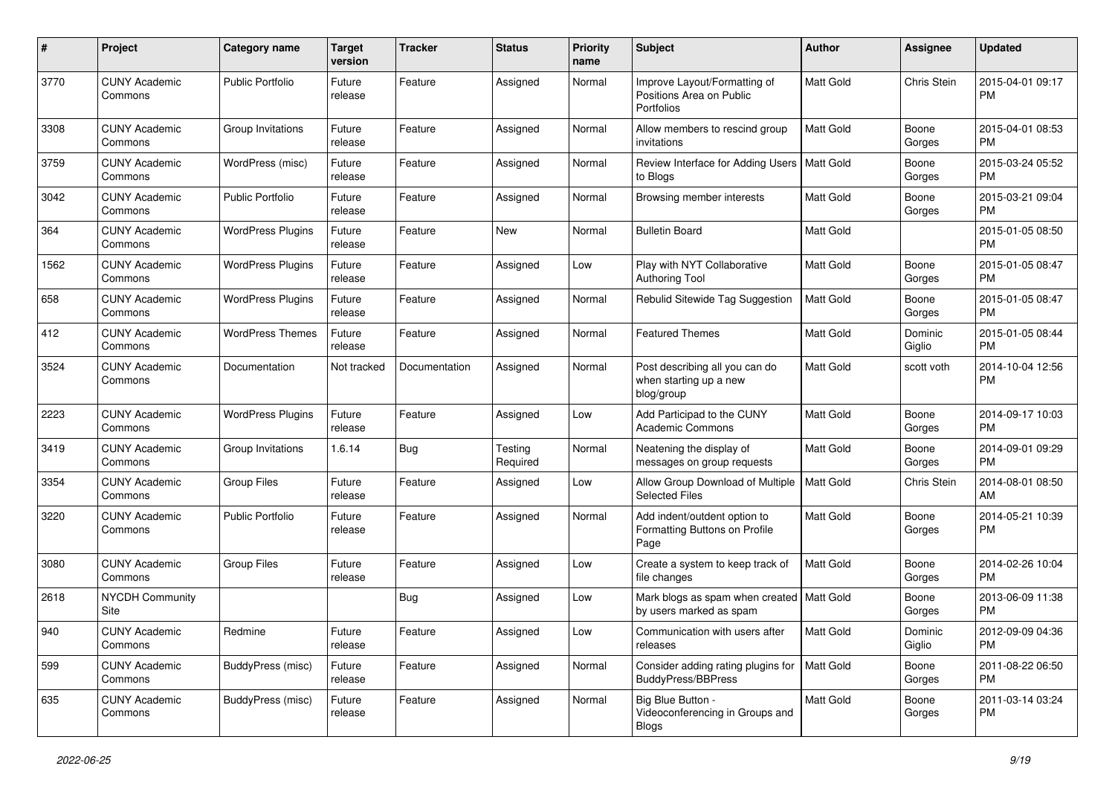| #             | Project                         | <b>Category name</b>     | <b>Target</b><br>version | <b>Tracker</b> | <b>Status</b>       | <b>Priority</b><br>name | <b>Subject</b>                                                                | Author           | <b>Assignee</b>   | <b>Updated</b>                |
|---------------|---------------------------------|--------------------------|--------------------------|----------------|---------------------|-------------------------|-------------------------------------------------------------------------------|------------------|-------------------|-------------------------------|
| 3770          | <b>CUNY Academic</b><br>Commons | <b>Public Portfolio</b>  | Future<br>release        | Feature        | Assigned            | Normal                  | Improve Layout/Formatting of<br>Positions Area on Public<br><b>Portfolios</b> | Matt Gold        | Chris Stein       | 2015-04-01 09:17<br><b>PM</b> |
| 3308          | <b>CUNY Academic</b><br>Commons | Group Invitations        | Future<br>release        | Feature        | Assigned            | Normal                  | Allow members to rescind group<br>invitations                                 | <b>Matt Gold</b> | Boone<br>Gorges   | 2015-04-01 08:53<br><b>PM</b> |
| 3759          | <b>CUNY Academic</b><br>Commons | WordPress (misc)         | Future<br>release        | Feature        | Assigned            | Normal                  | Review Interface for Adding Users   Matt Gold<br>to Blogs                     |                  | Boone<br>Gorges   | 2015-03-24 05:52<br><b>PM</b> |
| 3042          | <b>CUNY Academic</b><br>Commons | <b>Public Portfolio</b>  | Future<br>release        | Feature        | Assigned            | Normal                  | Browsing member interests                                                     | Matt Gold        | Boone<br>Gorges   | 2015-03-21 09:04<br><b>PM</b> |
| 364           | <b>CUNY Academic</b><br>Commons | <b>WordPress Plugins</b> | Future<br>release        | Feature        | New                 | Normal                  | <b>Bulletin Board</b>                                                         | Matt Gold        |                   | 2015-01-05 08:50<br><b>PM</b> |
| 1562          | <b>CUNY Academic</b><br>Commons | <b>WordPress Plugins</b> | Future<br>release        | Feature        | Assigned            | Low                     | Play with NYT Collaborative<br><b>Authoring Tool</b>                          | Matt Gold        | Boone<br>Gorges   | 2015-01-05 08:47<br><b>PM</b> |
| 658           | <b>CUNY Academic</b><br>Commons | <b>WordPress Plugins</b> | Future<br>release        | Feature        | Assigned            | Normal                  | Rebulid Sitewide Tag Suggestion                                               | <b>Matt Gold</b> | Boone<br>Gorges   | 2015-01-05 08:47<br><b>PM</b> |
| 412           | <b>CUNY Academic</b><br>Commons | <b>WordPress Themes</b>  | Future<br>release        | Feature        | Assigned            | Normal                  | <b>Featured Themes</b>                                                        | Matt Gold        | Dominic<br>Giglio | 2015-01-05 08:44<br><b>PM</b> |
| 3524          | <b>CUNY Academic</b><br>Commons | Documentation            | Not tracked              | Documentation  | Assigned            | Normal                  | Post describing all you can do<br>when starting up a new<br>blog/group        | Matt Gold        | scott voth        | 2014-10-04 12:56<br><b>PM</b> |
| 2223          | <b>CUNY Academic</b><br>Commons | <b>WordPress Plugins</b> | Future<br>release        | Feature        | Assigned            | Low                     | Add Participad to the CUNY<br>Academic Commons                                | <b>Matt Gold</b> | Boone<br>Gorges   | 2014-09-17 10:03<br><b>PM</b> |
| 3419          | <b>CUNY Academic</b><br>Commons | Group Invitations        | 1.6.14                   | Bug            | Testing<br>Required | Normal                  | Neatening the display of<br>messages on group requests                        | Matt Gold        | Boone<br>Gorges   | 2014-09-01 09:29<br><b>PM</b> |
| 3354          | <b>CUNY Academic</b><br>Commons | <b>Group Files</b>       | Future<br>release        | Feature        | Assigned            | Low                     | Allow Group Download of Multiple<br><b>Selected Files</b>                     | Matt Gold        | Chris Stein       | 2014-08-01 08:50<br>AM        |
| 3220          | <b>CUNY Academic</b><br>Commons | Public Portfolio         | Future<br>release        | Feature        | Assigned            | Normal                  | Add indent/outdent option to<br>Formatting Buttons on Profile<br>Page         | <b>Matt Gold</b> | Boone<br>Gorges   | 2014-05-21 10:39<br><b>PM</b> |
| 3080          | <b>CUNY Academic</b><br>Commons | <b>Group Files</b>       | Future<br>release        | Feature        | Assigned            | Low                     | Create a system to keep track of<br>file changes                              | Matt Gold        | Boone<br>Gorges   | 2014-02-26 10:04<br><b>PM</b> |
| 2618          | <b>NYCDH Community</b><br>Site  |                          |                          | Bug            | Assigned            | Low                     | Mark blogs as spam when created   Matt Gold<br>by users marked as spam        |                  | Boone<br>Gorges   | 2013-06-09 11:38<br>PM        |
| $ 940\rangle$ | <b>CUNY Academic</b><br>Commons | Redmine                  | Future<br>release        | Feature        | Assigned            | Low                     | Communication with users after<br>releases                                    | Matt Gold        | Dominic<br>Giglio | 2012-09-09 04:36<br><b>PM</b> |
| 599           | <b>CUNY Academic</b><br>Commons | BuddyPress (misc)        | Future<br>release        | Feature        | Assigned            | Normal                  | Consider adding rating plugins for<br><b>BuddyPress/BBPress</b>               | <b>Matt Gold</b> | Boone<br>Gorges   | 2011-08-22 06:50<br>PM        |
| 635           | <b>CUNY Academic</b><br>Commons | BuddyPress (misc)        | Future<br>release        | Feature        | Assigned            | Normal                  | Big Blue Button -<br>Videoconferencing in Groups and<br>Blogs                 | Matt Gold        | Boone<br>Gorges   | 2011-03-14 03:24<br><b>PM</b> |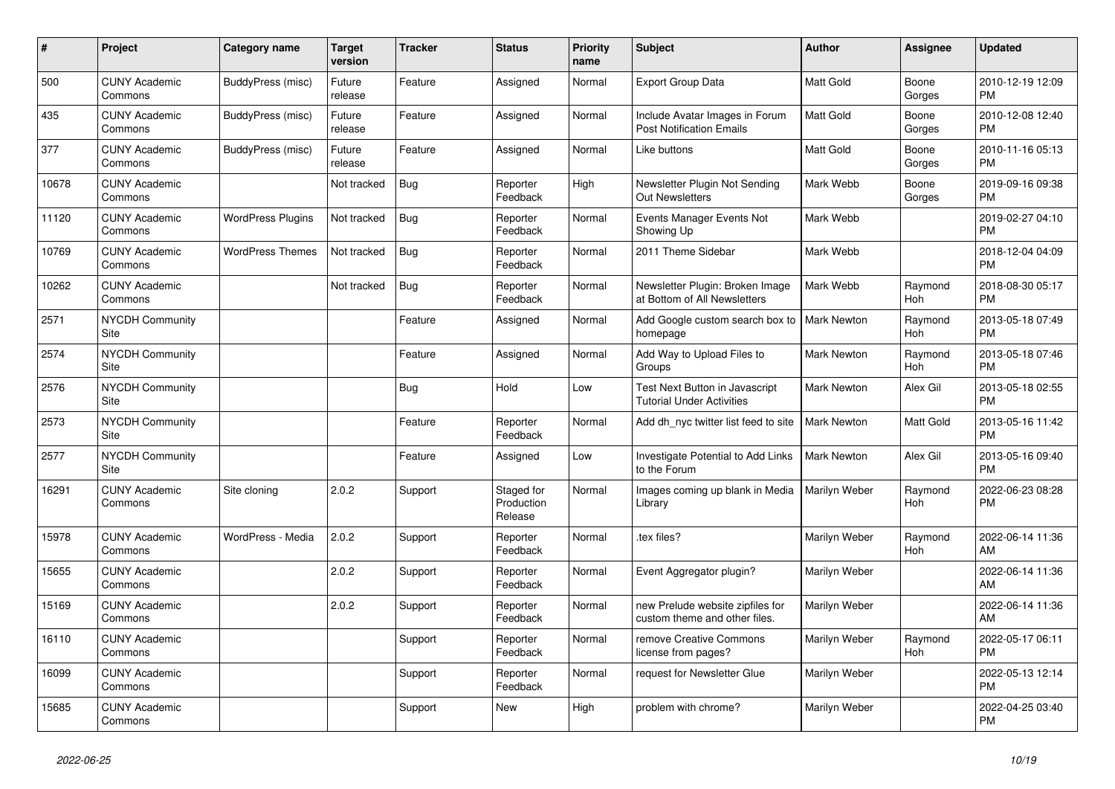| $\pmb{\sharp}$ | Project                         | <b>Category name</b>     | <b>Target</b><br>version | <b>Tracker</b> | <b>Status</b>                       | <b>Priority</b><br>name | <b>Subject</b>                                                     | <b>Author</b>      | Assignee              | <b>Updated</b>                |
|----------------|---------------------------------|--------------------------|--------------------------|----------------|-------------------------------------|-------------------------|--------------------------------------------------------------------|--------------------|-----------------------|-------------------------------|
| 500            | <b>CUNY Academic</b><br>Commons | BuddyPress (misc)        | Future<br>release        | Feature        | Assigned                            | Normal                  | <b>Export Group Data</b>                                           | <b>Matt Gold</b>   | Boone<br>Gorges       | 2010-12-19 12:09<br><b>PM</b> |
| 435            | <b>CUNY Academic</b><br>Commons | BuddyPress (misc)        | Future<br>release        | Feature        | Assigned                            | Normal                  | Include Avatar Images in Forum<br><b>Post Notification Emails</b>  | Matt Gold          | Boone<br>Gorges       | 2010-12-08 12:40<br><b>PM</b> |
| 377            | <b>CUNY Academic</b><br>Commons | BuddyPress (misc)        | Future<br>release        | Feature        | Assigned                            | Normal                  | Like buttons                                                       | <b>Matt Gold</b>   | Boone<br>Gorges       | 2010-11-16 05:13<br><b>PM</b> |
| 10678          | <b>CUNY Academic</b><br>Commons |                          | Not tracked              | <b>Bug</b>     | Reporter<br>Feedback                | High                    | Newsletter Plugin Not Sending<br><b>Out Newsletters</b>            | Mark Webb          | Boone<br>Gorges       | 2019-09-16 09:38<br><b>PM</b> |
| 11120          | <b>CUNY Academic</b><br>Commons | <b>WordPress Plugins</b> | Not tracked              | <b>Bug</b>     | Reporter<br>Feedback                | Normal                  | Events Manager Events Not<br>Showing Up                            | Mark Webb          |                       | 2019-02-27 04:10<br><b>PM</b> |
| 10769          | <b>CUNY Academic</b><br>Commons | <b>WordPress Themes</b>  | Not tracked              | <b>Bug</b>     | Reporter<br>Feedback                | Normal                  | 2011 Theme Sidebar                                                 | Mark Webb          |                       | 2018-12-04 04:09<br><b>PM</b> |
| 10262          | <b>CUNY Academic</b><br>Commons |                          | Not tracked              | Bug            | Reporter<br>Feedback                | Normal                  | Newsletter Plugin: Broken Image<br>at Bottom of All Newsletters    | Mark Webb          | Raymond<br><b>Hoh</b> | 2018-08-30 05:17<br><b>PM</b> |
| 2571           | <b>NYCDH Community</b><br>Site  |                          |                          | Feature        | Assigned                            | Normal                  | Add Google custom search box to<br>homepage                        | <b>Mark Newton</b> | Raymond<br>Hoh        | 2013-05-18 07:49<br><b>PM</b> |
| 2574           | <b>NYCDH Community</b><br>Site  |                          |                          | Feature        | Assigned                            | Normal                  | Add Way to Upload Files to<br>Groups                               | Mark Newton        | Raymond<br>Hoh        | 2013-05-18 07:46<br><b>PM</b> |
| 2576           | <b>NYCDH Community</b><br>Site  |                          |                          | Bug            | Hold                                | Low                     | Test Next Button in Javascript<br><b>Tutorial Under Activities</b> | <b>Mark Newton</b> | Alex Gil              | 2013-05-18 02:55<br><b>PM</b> |
| 2573           | <b>NYCDH Community</b><br>Site  |                          |                          | Feature        | Reporter<br>Feedback                | Normal                  | Add dh nyc twitter list feed to site                               | <b>Mark Newton</b> | Matt Gold             | 2013-05-16 11:42<br><b>PM</b> |
| 2577           | <b>NYCDH Community</b><br>Site  |                          |                          | Feature        | Assigned                            | Low                     | Investigate Potential to Add Links<br>to the Forum                 | <b>Mark Newton</b> | Alex Gil              | 2013-05-16 09:40<br><b>PM</b> |
| 16291          | <b>CUNY Academic</b><br>Commons | Site cloning             | 2.0.2                    | Support        | Staged for<br>Production<br>Release | Normal                  | Images coming up blank in Media<br>Library                         | Marilyn Weber      | Raymond<br><b>Hoh</b> | 2022-06-23 08:28<br><b>PM</b> |
| 15978          | <b>CUNY Academic</b><br>Commons | WordPress - Media        | 2.0.2                    | Support        | Reporter<br>Feedback                | Normal                  | tex files?                                                         | Marilyn Weber      | Raymond<br>Hoh        | 2022-06-14 11:36<br>AM        |
| 15655          | <b>CUNY Academic</b><br>Commons |                          | 2.0.2                    | Support        | Reporter<br>Feedback                | Normal                  | Event Aggregator plugin?                                           | Marilyn Weber      |                       | 2022-06-14 11:36<br>AM        |
| 15169          | <b>CUNY Academic</b><br>Commons |                          | 2.0.2                    | Support        | Reporter<br>Feedback                | Normal                  | new Prelude website zipfiles for<br>custom theme and other files.  | Marilyn Weber      |                       | 2022-06-14 11:36<br>AM        |
| 16110          | <b>CUNY Academic</b><br>Commons |                          |                          | Support        | Reporter<br>Feedback                | Normal                  | remove Creative Commons<br>license from pages?                     | Marilyn Weber      | Raymond<br>Hoh        | 2022-05-17 06:11<br><b>PM</b> |
| 16099          | <b>CUNY Academic</b><br>Commons |                          |                          | Support        | Reporter<br>Feedback                | Normal                  | request for Newsletter Glue                                        | Marilyn Weber      |                       | 2022-05-13 12:14<br><b>PM</b> |
| 15685          | <b>CUNY Academic</b><br>Commons |                          |                          | Support        | <b>New</b>                          | High                    | problem with chrome?                                               | Marilyn Weber      |                       | 2022-04-25 03:40<br><b>PM</b> |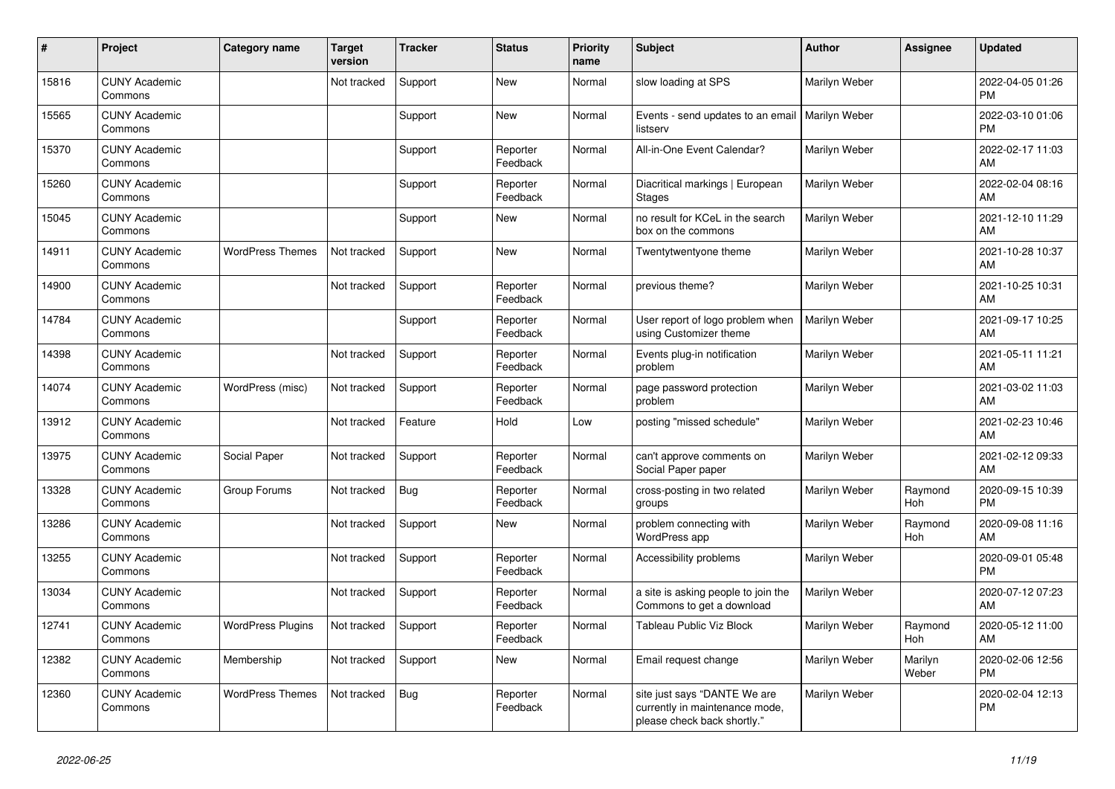| #     | Project                         | <b>Category name</b>     | <b>Target</b><br>version | <b>Tracker</b> | <b>Status</b>        | <b>Priority</b><br>name | <b>Subject</b>                                                                                | <b>Author</b>        | <b>Assignee</b>  | <b>Updated</b>                |
|-------|---------------------------------|--------------------------|--------------------------|----------------|----------------------|-------------------------|-----------------------------------------------------------------------------------------------|----------------------|------------------|-------------------------------|
| 15816 | <b>CUNY Academic</b><br>Commons |                          | Not tracked              | Support        | <b>New</b>           | Normal                  | slow loading at SPS                                                                           | Marilyn Weber        |                  | 2022-04-05 01:26<br><b>PM</b> |
| 15565 | <b>CUNY Academic</b><br>Commons |                          |                          | Support        | <b>New</b>           | Normal                  | Events - send updates to an email<br>listserv                                                 | <b>Marilyn Weber</b> |                  | 2022-03-10 01:06<br>PM        |
| 15370 | <b>CUNY Academic</b><br>Commons |                          |                          | Support        | Reporter<br>Feedback | Normal                  | All-in-One Event Calendar?                                                                    | Marilyn Weber        |                  | 2022-02-17 11:03<br>AM        |
| 15260 | <b>CUNY Academic</b><br>Commons |                          |                          | Support        | Reporter<br>Feedback | Normal                  | Diacritical markings   European<br><b>Stages</b>                                              | Marilyn Weber        |                  | 2022-02-04 08:16<br>AM        |
| 15045 | <b>CUNY Academic</b><br>Commons |                          |                          | Support        | <b>New</b>           | Normal                  | no result for KCeL in the search<br>box on the commons                                        | Marilyn Weber        |                  | 2021-12-10 11:29<br>AM        |
| 14911 | <b>CUNY Academic</b><br>Commons | <b>WordPress Themes</b>  | Not tracked              | Support        | <b>New</b>           | Normal                  | Twentytwentyone theme                                                                         | Marilyn Weber        |                  | 2021-10-28 10:37<br>AM        |
| 14900 | <b>CUNY Academic</b><br>Commons |                          | Not tracked              | Support        | Reporter<br>Feedback | Normal                  | previous theme?                                                                               | Marilyn Weber        |                  | 2021-10-25 10:31<br>AM        |
| 14784 | <b>CUNY Academic</b><br>Commons |                          |                          | Support        | Reporter<br>Feedback | Normal                  | User report of logo problem when<br>using Customizer theme                                    | Marilyn Weber        |                  | 2021-09-17 10:25<br>AM        |
| 14398 | <b>CUNY Academic</b><br>Commons |                          | Not tracked              | Support        | Reporter<br>Feedback | Normal                  | Events plug-in notification<br>problem                                                        | Marilyn Weber        |                  | 2021-05-11 11:21<br>AM        |
| 14074 | <b>CUNY Academic</b><br>Commons | WordPress (misc)         | Not tracked              | Support        | Reporter<br>Feedback | Normal                  | page password protection<br>problem                                                           | Marilyn Weber        |                  | 2021-03-02 11:03<br>AM        |
| 13912 | <b>CUNY Academic</b><br>Commons |                          | Not tracked              | Feature        | Hold                 | Low                     | posting "missed schedule"                                                                     | Marilyn Weber        |                  | 2021-02-23 10:46<br>AM        |
| 13975 | <b>CUNY Academic</b><br>Commons | Social Paper             | Not tracked              | Support        | Reporter<br>Feedback | Normal                  | can't approve comments on<br>Social Paper paper                                               | Marilyn Weber        |                  | 2021-02-12 09:33<br>AM        |
| 13328 | <b>CUNY Academic</b><br>Commons | Group Forums             | Not tracked              | <b>Bug</b>     | Reporter<br>Feedback | Normal                  | cross-posting in two related<br>groups                                                        | Marilyn Weber        | Raymond<br>Hoh   | 2020-09-15 10:39<br><b>PM</b> |
| 13286 | <b>CUNY Academic</b><br>Commons |                          | Not tracked              | Support        | <b>New</b>           | Normal                  | problem connecting with<br>WordPress app                                                      | Marilyn Weber        | Raymond<br>Hoh   | 2020-09-08 11:16<br>AM        |
| 13255 | <b>CUNY Academic</b><br>Commons |                          | Not tracked              | Support        | Reporter<br>Feedback | Normal                  | Accessibility problems                                                                        | Marilyn Weber        |                  | 2020-09-01 05:48<br><b>PM</b> |
| 13034 | <b>CUNY Academic</b><br>Commons |                          | Not tracked              | Support        | Reporter<br>Feedback | Normal                  | a site is asking people to join the<br>Commons to get a download                              | Marilyn Weber        |                  | 2020-07-12 07:23<br>AM        |
| 12741 | <b>CUNY Academic</b><br>Commons | <b>WordPress Plugins</b> | Not tracked              | Support        | Reporter<br>Feedback | Normal                  | Tableau Public Viz Block                                                                      | Marilyn Weber        | Raymond<br>Hoh   | 2020-05-12 11:00<br>AM        |
| 12382 | <b>CUNY Academic</b><br>Commons | Membership               | Not tracked              | Support        | <b>New</b>           | Normal                  | Email request change                                                                          | Marilyn Weber        | Marilyn<br>Weber | 2020-02-06 12:56<br>PM        |
| 12360 | <b>CUNY Academic</b><br>Commons | <b>WordPress Themes</b>  | Not tracked              | Bug            | Reporter<br>Feedback | Normal                  | site just says "DANTE We are<br>currently in maintenance mode,<br>please check back shortly." | Marilyn Weber        |                  | 2020-02-04 12:13<br><b>PM</b> |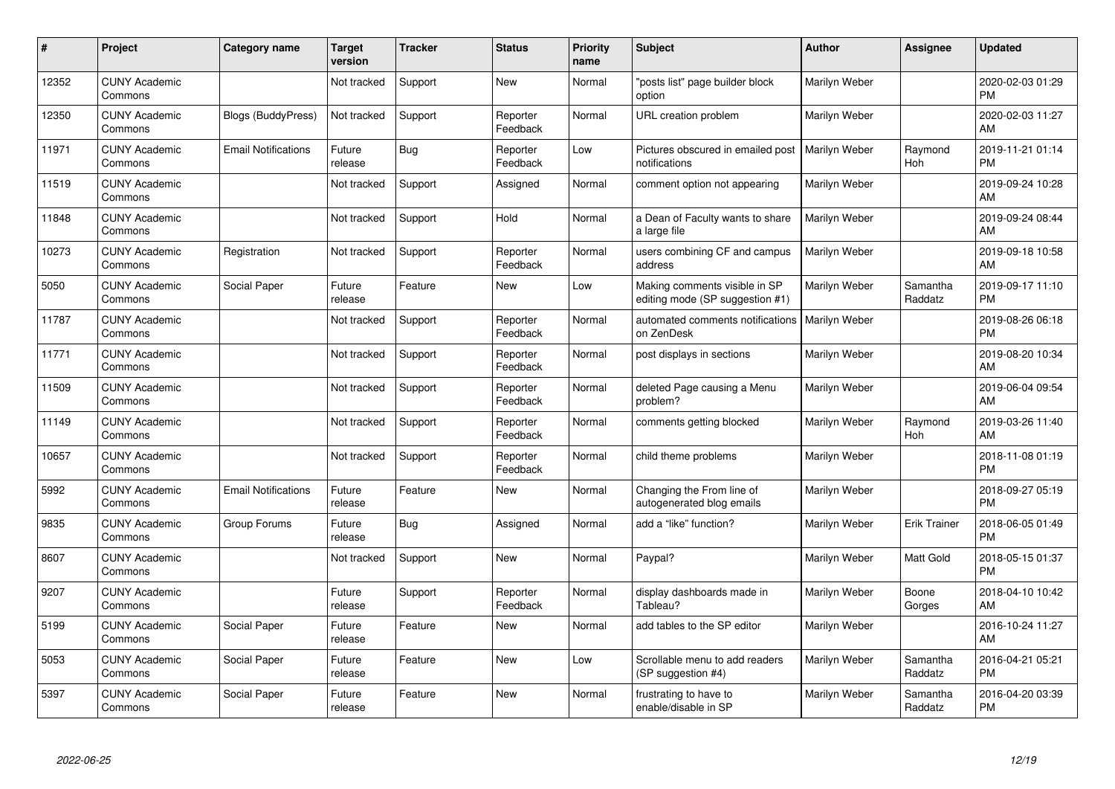| #     | Project                         | <b>Category name</b>       | <b>Target</b><br>version | <b>Tracker</b> | <b>Status</b>        | <b>Priority</b><br>name | <b>Subject</b>                                                   | <b>Author</b>        | <b>Assignee</b>     | <b>Updated</b>                |
|-------|---------------------------------|----------------------------|--------------------------|----------------|----------------------|-------------------------|------------------------------------------------------------------|----------------------|---------------------|-------------------------------|
| 12352 | <b>CUNY Academic</b><br>Commons |                            | Not tracked              | Support        | <b>New</b>           | Normal                  | "posts list" page builder block<br>option                        | Marilyn Weber        |                     | 2020-02-03 01:29<br><b>PM</b> |
| 12350 | <b>CUNY Academic</b><br>Commons | <b>Blogs (BuddyPress)</b>  | Not tracked              | Support        | Reporter<br>Feedback | Normal                  | URL creation problem                                             | Marilyn Weber        |                     | 2020-02-03 11:27<br>AM        |
| 11971 | <b>CUNY Academic</b><br>Commons | <b>Email Notifications</b> | Future<br>release        | <b>Bug</b>     | Reporter<br>Feedback | Low                     | Pictures obscured in emailed post<br>notifications               | Marilyn Weber        | Raymond<br>Hoh      | 2019-11-21 01:14<br><b>PM</b> |
| 11519 | <b>CUNY Academic</b><br>Commons |                            | Not tracked              | Support        | Assigned             | Normal                  | comment option not appearing                                     | Marilyn Weber        |                     | 2019-09-24 10:28<br>AM        |
| 11848 | <b>CUNY Academic</b><br>Commons |                            | Not tracked              | Support        | Hold                 | Normal                  | a Dean of Faculty wants to share<br>a large file                 | Marilyn Weber        |                     | 2019-09-24 08:44<br>AM        |
| 10273 | <b>CUNY Academic</b><br>Commons | Registration               | Not tracked              | Support        | Reporter<br>Feedback | Normal                  | users combining CF and campus<br>address                         | Marilyn Weber        |                     | 2019-09-18 10:58<br>AM        |
| 5050  | <b>CUNY Academic</b><br>Commons | Social Paper               | Future<br>release        | Feature        | <b>New</b>           | Low                     | Making comments visible in SP<br>editing mode (SP suggestion #1) | Marilyn Weber        | Samantha<br>Raddatz | 2019-09-17 11:10<br><b>PM</b> |
| 11787 | <b>CUNY Academic</b><br>Commons |                            | Not tracked              | Support        | Reporter<br>Feedback | Normal                  | automated comments notifications<br>on ZenDesk                   | <b>Marilyn Weber</b> |                     | 2019-08-26 06:18<br><b>PM</b> |
| 11771 | <b>CUNY Academic</b><br>Commons |                            | Not tracked              | Support        | Reporter<br>Feedback | Normal                  | post displays in sections                                        | Marilyn Weber        |                     | 2019-08-20 10:34<br>AM        |
| 11509 | <b>CUNY Academic</b><br>Commons |                            | Not tracked              | Support        | Reporter<br>Feedback | Normal                  | deleted Page causing a Menu<br>problem?                          | Marilyn Weber        |                     | 2019-06-04 09:54<br>AM        |
| 11149 | <b>CUNY Academic</b><br>Commons |                            | Not tracked              | Support        | Reporter<br>Feedback | Normal                  | comments getting blocked                                         | Marilyn Weber        | Raymond<br>Hoh      | 2019-03-26 11:40<br>AM        |
| 10657 | <b>CUNY Academic</b><br>Commons |                            | Not tracked              | Support        | Reporter<br>Feedback | Normal                  | child theme problems                                             | Marilyn Weber        |                     | 2018-11-08 01:19<br><b>PM</b> |
| 5992  | <b>CUNY Academic</b><br>Commons | <b>Email Notifications</b> | Future<br>release        | Feature        | <b>New</b>           | Normal                  | Changing the From line of<br>autogenerated blog emails           | Marilyn Weber        |                     | 2018-09-27 05:19<br><b>PM</b> |
| 9835  | <b>CUNY Academic</b><br>Commons | Group Forums               | Future<br>release        | Bug            | Assigned             | Normal                  | add a "like" function?                                           | Marilyn Weber        | <b>Erik Trainer</b> | 2018-06-05 01:49<br><b>PM</b> |
| 8607  | <b>CUNY Academic</b><br>Commons |                            | Not tracked              | Support        | <b>New</b>           | Normal                  | Paypal?                                                          | Marilyn Weber        | Matt Gold           | 2018-05-15 01:37<br><b>PM</b> |
| 9207  | <b>CUNY Academic</b><br>Commons |                            | Future<br>release        | Support        | Reporter<br>Feedback | Normal                  | display dashboards made in<br>Tableau?                           | Marilyn Weber        | Boone<br>Gorges     | 2018-04-10 10:42<br>AM        |
| 5199  | <b>CUNY Academic</b><br>Commons | Social Paper               | Future<br>release        | Feature        | New                  | Normal                  | add tables to the SP editor                                      | Marilyn Weber        |                     | 2016-10-24 11:27<br>AM        |
| 5053  | <b>CUNY Academic</b><br>Commons | Social Paper               | Future<br>release        | Feature        | <b>New</b>           | Low                     | Scrollable menu to add readers<br>(SP suggestion #4)             | Marilyn Weber        | Samantha<br>Raddatz | 2016-04-21 05:21<br><b>PM</b> |
| 5397  | <b>CUNY Academic</b><br>Commons | Social Paper               | Future<br>release        | Feature        | <b>New</b>           | Normal                  | frustrating to have to<br>enable/disable in SP                   | Marilyn Weber        | Samantha<br>Raddatz | 2016-04-20 03:39<br><b>PM</b> |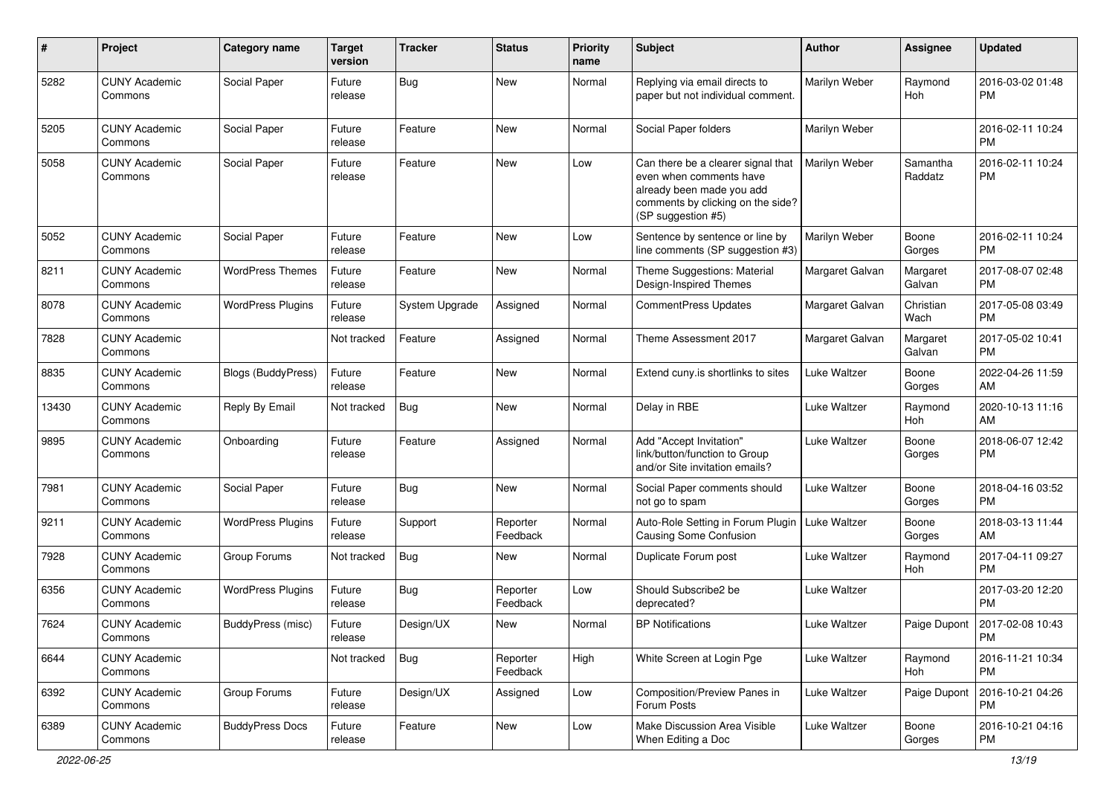| #     | Project                         | <b>Category name</b>      | <b>Target</b><br>version | <b>Tracker</b> | <b>Status</b>        | <b>Priority</b><br>name | Subject                                                                                                                                               | Author          | <b>Assignee</b>     | <b>Updated</b>                        |
|-------|---------------------------------|---------------------------|--------------------------|----------------|----------------------|-------------------------|-------------------------------------------------------------------------------------------------------------------------------------------------------|-----------------|---------------------|---------------------------------------|
| 5282  | <b>CUNY Academic</b><br>Commons | Social Paper              | Future<br>release        | Bug            | New                  | Normal                  | Replying via email directs to<br>paper but not individual comment.                                                                                    | Marilyn Weber   | Raymond<br>Hoh      | 2016-03-02 01:48<br>PM                |
| 5205  | <b>CUNY Academic</b><br>Commons | Social Paper              | Future<br>release        | Feature        | <b>New</b>           | Normal                  | Social Paper folders                                                                                                                                  | Marilyn Weber   |                     | 2016-02-11 10:24<br>PM                |
| 5058  | <b>CUNY Academic</b><br>Commons | Social Paper              | Future<br>release        | Feature        | New                  | Low                     | Can there be a clearer signal that<br>even when comments have<br>already been made you add<br>comments by clicking on the side?<br>(SP suggestion #5) | Marilyn Weber   | Samantha<br>Raddatz | 2016-02-11 10:24<br><b>PM</b>         |
| 5052  | <b>CUNY Academic</b><br>Commons | Social Paper              | Future<br>release        | Feature        | New                  | Low                     | Sentence by sentence or line by<br>line comments (SP suggestion #3)                                                                                   | Marilyn Weber   | Boone<br>Gorges     | 2016-02-11 10:24<br><b>PM</b>         |
| 8211  | <b>CUNY Academic</b><br>Commons | <b>WordPress Themes</b>   | Future<br>release        | Feature        | New                  | Normal                  | Theme Suggestions: Material<br>Design-Inspired Themes                                                                                                 | Margaret Galvan | Margaret<br>Galvan  | 2017-08-07 02:48<br><b>PM</b>         |
| 8078  | <b>CUNY Academic</b><br>Commons | <b>WordPress Plugins</b>  | Future<br>release        | System Upgrade | Assigned             | Normal                  | CommentPress Updates                                                                                                                                  | Margaret Galvan | Christian<br>Wach   | 2017-05-08 03:49<br><b>PM</b>         |
| 7828  | <b>CUNY Academic</b><br>Commons |                           | Not tracked              | Feature        | Assigned             | Normal                  | Theme Assessment 2017                                                                                                                                 | Margaret Galvan | Margaret<br>Galvan  | 2017-05-02 10:41<br><b>PM</b>         |
| 8835  | <b>CUNY Academic</b><br>Commons | <b>Blogs (BuddyPress)</b> | Future<br>release        | Feature        | New                  | Normal                  | Extend cuny.is shortlinks to sites                                                                                                                    | Luke Waltzer    | Boone<br>Gorges     | 2022-04-26 11:59<br>AM                |
| 13430 | <b>CUNY Academic</b><br>Commons | Reply By Email            | Not tracked              | Bug            | <b>New</b>           | Normal                  | Delay in RBE                                                                                                                                          | Luke Waltzer    | Raymond<br>Hoh      | 2020-10-13 11:16<br>AM                |
| 9895  | <b>CUNY Academic</b><br>Commons | Onboarding                | Future<br>release        | Feature        | Assigned             | Normal                  | Add "Accept Invitation"<br>link/button/function to Group<br>and/or Site invitation emails?                                                            | Luke Waltzer    | Boone<br>Gorges     | 2018-06-07 12:42<br><b>PM</b>         |
| 7981  | <b>CUNY Academic</b><br>Commons | Social Paper              | Future<br>release        | Bug            | <b>New</b>           | Normal                  | Social Paper comments should<br>not go to spam                                                                                                        | Luke Waltzer    | Boone<br>Gorges     | 2018-04-16 03:52<br><b>PM</b>         |
| 9211  | <b>CUNY Academic</b><br>Commons | <b>WordPress Plugins</b>  | Future<br>release        | Support        | Reporter<br>Feedback | Normal                  | Auto-Role Setting in Forum Plugin<br>Causing Some Confusion                                                                                           | Luke Waltzer    | Boone<br>Gorges     | 2018-03-13 11:44<br>AM                |
| 7928  | <b>CUNY Academic</b><br>Commons | Group Forums              | Not tracked              | <b>Bug</b>     | New                  | Normal                  | Duplicate Forum post                                                                                                                                  | Luke Waltzer    | Raymond<br>Hoh      | 2017-04-11 09:27<br><b>PM</b>         |
| 6356  | <b>CUNY Academic</b><br>Commons | <b>WordPress Plugins</b>  | Future<br>release        | Bug            | Reporter<br>Feedback | Low                     | Should Subscribe2 be<br>deprecated?                                                                                                                   | Luke Waltzer    |                     | 2017-03-20 12:20<br><b>PM</b>         |
| 7624  | <b>CUNY Academic</b><br>Commons | BuddyPress (misc)         | Future<br>release        | Design/UX      | New                  | Normal                  | <b>BP Notifications</b>                                                                                                                               | Luke Waltzer    |                     | Paige Dupont   2017-02-08 10:43<br>PM |
| 6644  | <b>CUNY Academic</b><br>Commons |                           | Not tracked              | <b>Bug</b>     | Reporter<br>Feedback | High                    | White Screen at Login Pge                                                                                                                             | Luke Waltzer    | Raymond<br>Hoh      | 2016-11-21 10:34<br><b>PM</b>         |
| 6392  | <b>CUNY Academic</b><br>Commons | Group Forums              | Future<br>release        | Design/UX      | Assigned             | Low                     | Composition/Preview Panes in<br>Forum Posts                                                                                                           | Luke Waltzer    | Paige Dupont        | 2016-10-21 04:26<br><b>PM</b>         |
| 6389  | <b>CUNY Academic</b><br>Commons | <b>BuddyPress Docs</b>    | Future<br>release        | Feature        | New                  | Low                     | Make Discussion Area Visible<br>When Editing a Doc                                                                                                    | Luke Waltzer    | Boone<br>Gorges     | 2016-10-21 04:16<br>PM                |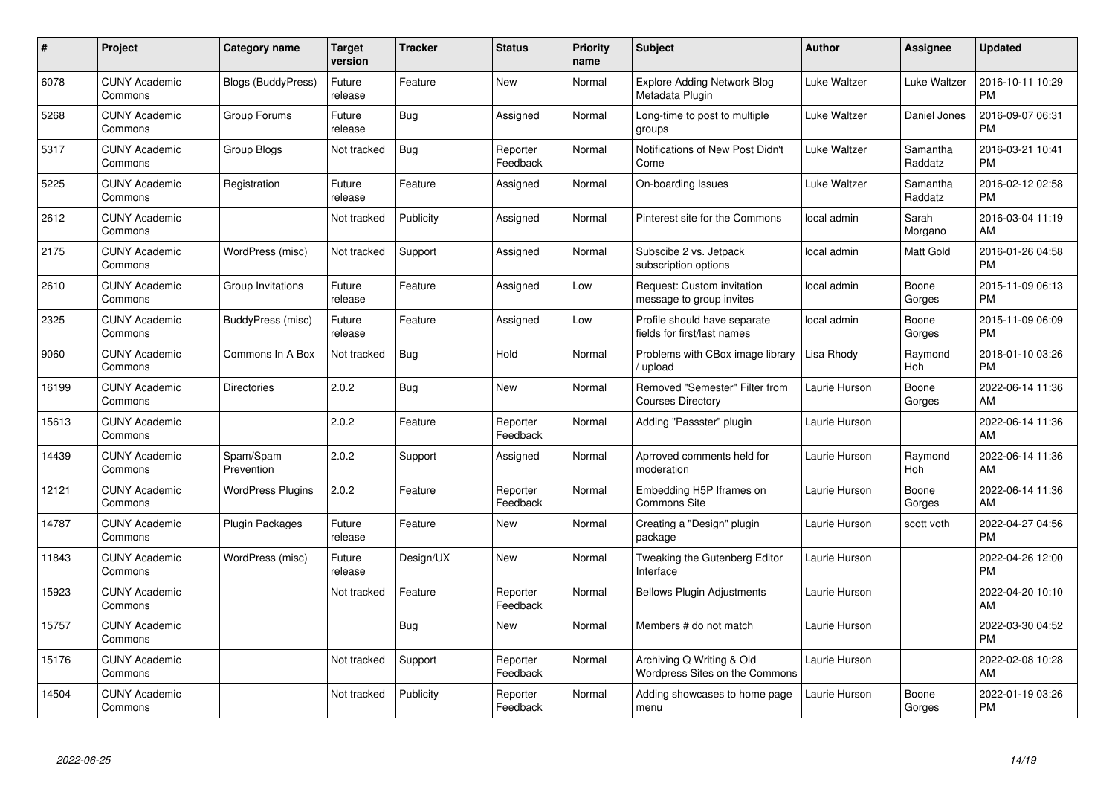| $\#$  | Project                         | Category name            | <b>Target</b><br>version | <b>Tracker</b> | <b>Status</b>        | <b>Priority</b><br>name | <b>Subject</b>                                              | Author        | Assignee            | <b>Updated</b>                |
|-------|---------------------------------|--------------------------|--------------------------|----------------|----------------------|-------------------------|-------------------------------------------------------------|---------------|---------------------|-------------------------------|
| 6078  | <b>CUNY Academic</b><br>Commons | Blogs (BuddyPress)       | Future<br>release        | Feature        | <b>New</b>           | Normal                  | <b>Explore Adding Network Blog</b><br>Metadata Plugin       | Luke Waltzer  | Luke Waltzer        | 2016-10-11 10:29<br><b>PM</b> |
| 5268  | <b>CUNY Academic</b><br>Commons | Group Forums             | Future<br>release        | Bug            | Assigned             | Normal                  | Long-time to post to multiple<br>groups                     | Luke Waltzer  | Daniel Jones        | 2016-09-07 06:31<br><b>PM</b> |
| 5317  | <b>CUNY Academic</b><br>Commons | Group Blogs              | Not tracked              | Bug            | Reporter<br>Feedback | Normal                  | Notifications of New Post Didn't<br>Come                    | Luke Waltzer  | Samantha<br>Raddatz | 2016-03-21 10:41<br><b>PM</b> |
| 5225  | <b>CUNY Academic</b><br>Commons | Registration             | Future<br>release        | Feature        | Assigned             | Normal                  | On-boarding Issues                                          | Luke Waltzer  | Samantha<br>Raddatz | 2016-02-12 02:58<br><b>PM</b> |
| 2612  | <b>CUNY Academic</b><br>Commons |                          | Not tracked              | Publicity      | Assigned             | Normal                  | Pinterest site for the Commons                              | local admin   | Sarah<br>Morgano    | 2016-03-04 11:19<br>AM        |
| 2175  | <b>CUNY Academic</b><br>Commons | WordPress (misc)         | Not tracked              | Support        | Assigned             | Normal                  | Subscibe 2 vs. Jetpack<br>subscription options              | local admin   | Matt Gold           | 2016-01-26 04:58<br><b>PM</b> |
| 2610  | <b>CUNY Academic</b><br>Commons | Group Invitations        | Future<br>release        | Feature        | Assigned             | Low                     | Request: Custom invitation<br>message to group invites      | local admin   | Boone<br>Gorges     | 2015-11-09 06:13<br><b>PM</b> |
| 2325  | <b>CUNY Academic</b><br>Commons | BuddyPress (misc)        | Future<br>release        | Feature        | Assigned             | Low                     | Profile should have separate<br>fields for first/last names | local admin   | Boone<br>Gorges     | 2015-11-09 06:09<br><b>PM</b> |
| 9060  | <b>CUNY Academic</b><br>Commons | Commons In A Box         | Not tracked              | Bug            | Hold                 | Normal                  | Problems with CBox image library<br>/ upload                | Lisa Rhody    | Raymond<br>Hoh      | 2018-01-10 03:26<br><b>PM</b> |
| 16199 | <b>CUNY Academic</b><br>Commons | Directories              | 2.0.2                    | <b>Bug</b>     | <b>New</b>           | Normal                  | Removed "Semester" Filter from<br><b>Courses Directory</b>  | Laurie Hurson | Boone<br>Gorges     | 2022-06-14 11:36<br>AM        |
| 15613 | <b>CUNY Academic</b><br>Commons |                          | 2.0.2                    | Feature        | Reporter<br>Feedback | Normal                  | Adding "Passster" plugin                                    | Laurie Hurson |                     | 2022-06-14 11:36<br>AM        |
| 14439 | <b>CUNY Academic</b><br>Commons | Spam/Spam<br>Prevention  | 2.0.2                    | Support        | Assigned             | Normal                  | Aprroved comments held for<br>moderation                    | Laurie Hurson | Raymond<br>Hoh      | 2022-06-14 11:36<br>AM        |
| 12121 | <b>CUNY Academic</b><br>Commons | <b>WordPress Plugins</b> | 2.0.2                    | Feature        | Reporter<br>Feedback | Normal                  | Embedding H5P Iframes on<br><b>Commons Site</b>             | Laurie Hurson | Boone<br>Gorges     | 2022-06-14 11:36<br>AM        |
| 14787 | <b>CUNY Academic</b><br>Commons | <b>Plugin Packages</b>   | Future<br>release        | Feature        | New                  | Normal                  | Creating a "Design" plugin<br>package                       | Laurie Hurson | scott voth          | 2022-04-27 04:56<br><b>PM</b> |
| 11843 | <b>CUNY Academic</b><br>Commons | WordPress (misc)         | Future<br>release        | Design/UX      | <b>New</b>           | Normal                  | Tweaking the Gutenberg Editor<br>Interface                  | Laurie Hurson |                     | 2022-04-26 12:00<br><b>PM</b> |
| 15923 | <b>CUNY Academic</b><br>Commons |                          | Not tracked              | Feature        | Reporter<br>Feedback | Normal                  | <b>Bellows Plugin Adjustments</b>                           | Laurie Hurson |                     | 2022-04-20 10:10<br>AM        |
| 15757 | <b>CUNY Academic</b><br>Commons |                          |                          | Bug            | New                  | Normal                  | Members # do not match                                      | Laurie Hurson |                     | 2022-03-30 04:52<br><b>PM</b> |
| 15176 | <b>CUNY Academic</b><br>Commons |                          | Not tracked              | Support        | Reporter<br>Feedback | Normal                  | Archiving Q Writing & Old<br>Wordpress Sites on the Commons | Laurie Hurson |                     | 2022-02-08 10:28<br>AM        |
| 14504 | <b>CUNY Academic</b><br>Commons |                          | Not tracked              | Publicity      | Reporter<br>Feedback | Normal                  | Adding showcases to home page<br>menu                       | Laurie Hurson | Boone<br>Gorges     | 2022-01-19 03:26<br>PM        |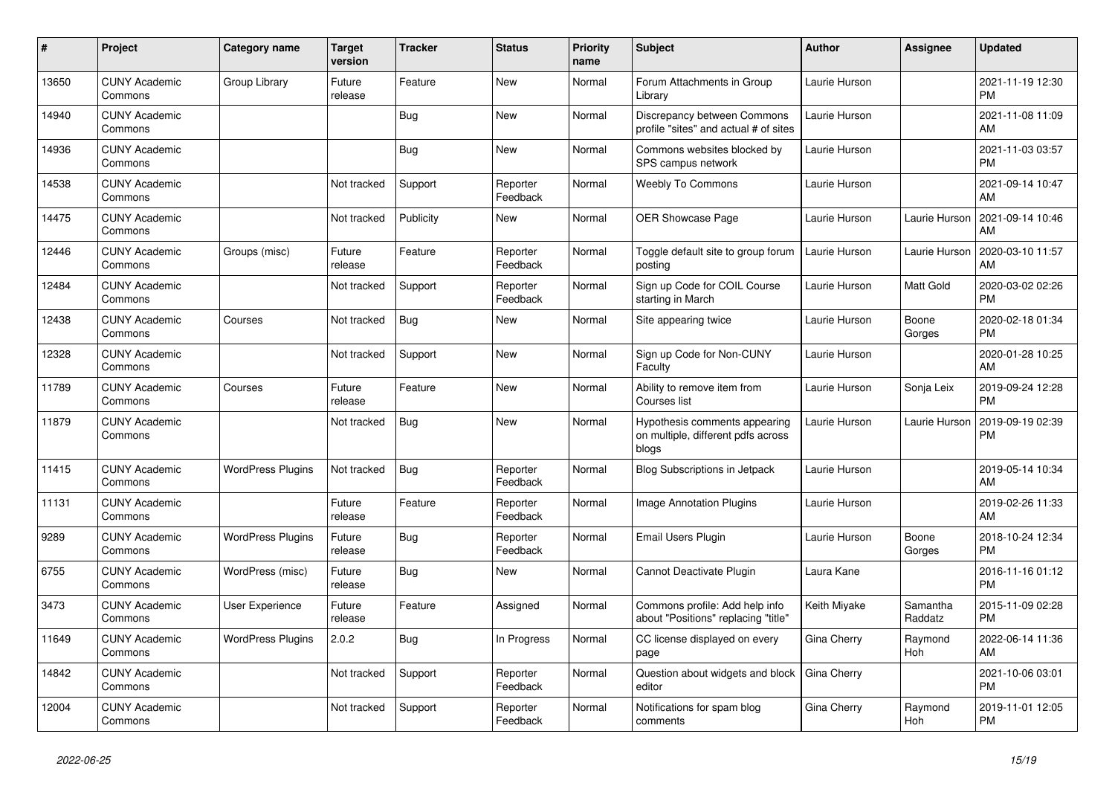| #     | <b>Project</b>                  | <b>Category name</b>     | Target<br>version | Tracker   | <b>Status</b>        | <b>Priority</b><br>name | <b>Subject</b>                                                               | <b>Author</b> | <b>Assignee</b>     | <b>Updated</b>                |
|-------|---------------------------------|--------------------------|-------------------|-----------|----------------------|-------------------------|------------------------------------------------------------------------------|---------------|---------------------|-------------------------------|
| 13650 | <b>CUNY Academic</b><br>Commons | Group Library            | Future<br>release | Feature   | New                  | Normal                  | Forum Attachments in Group<br>Library                                        | Laurie Hurson |                     | 2021-11-19 12:30<br><b>PM</b> |
| 14940 | <b>CUNY Academic</b><br>Commons |                          |                   | Bug       | New                  | Normal                  | Discrepancy between Commons<br>profile "sites" and actual # of sites         | Laurie Hurson |                     | 2021-11-08 11:09<br>AM        |
| 14936 | <b>CUNY Academic</b><br>Commons |                          |                   | Bug       | <b>New</b>           | Normal                  | Commons websites blocked by<br>SPS campus network                            | Laurie Hurson |                     | 2021-11-03 03:57<br><b>PM</b> |
| 14538 | <b>CUNY Academic</b><br>Commons |                          | Not tracked       | Support   | Reporter<br>Feedback | Normal                  | Weebly To Commons                                                            | Laurie Hurson |                     | 2021-09-14 10:47<br>AM        |
| 14475 | <b>CUNY Academic</b><br>Commons |                          | Not tracked       | Publicity | New                  | Normal                  | <b>OER Showcase Page</b>                                                     | Laurie Hurson | Laurie Hurson       | 2021-09-14 10:46<br>AM        |
| 12446 | <b>CUNY Academic</b><br>Commons | Groups (misc)            | Future<br>release | Feature   | Reporter<br>Feedback | Normal                  | Toggle default site to group forum<br>posting                                | Laurie Hurson | Laurie Hurson       | 2020-03-10 11:57<br>AM        |
| 12484 | <b>CUNY Academic</b><br>Commons |                          | Not tracked       | Support   | Reporter<br>Feedback | Normal                  | Sign up Code for COIL Course<br>starting in March                            | Laurie Hurson | <b>Matt Gold</b>    | 2020-03-02 02:26<br><b>PM</b> |
| 12438 | <b>CUNY Academic</b><br>Commons | Courses                  | Not tracked       | Bug       | <b>New</b>           | Normal                  | Site appearing twice                                                         | Laurie Hurson | Boone<br>Gorges     | 2020-02-18 01:34<br><b>PM</b> |
| 12328 | <b>CUNY Academic</b><br>Commons |                          | Not tracked       | Support   | <b>New</b>           | Normal                  | Sign up Code for Non-CUNY<br>Faculty                                         | Laurie Hurson |                     | 2020-01-28 10:25<br>AM        |
| 11789 | <b>CUNY Academic</b><br>Commons | Courses                  | Future<br>release | Feature   | <b>New</b>           | Normal                  | Ability to remove item from<br>Courses list                                  | Laurie Hurson | Sonja Leix          | 2019-09-24 12:28<br><b>PM</b> |
| 11879 | <b>CUNY Academic</b><br>Commons |                          | Not tracked       | Bug       | <b>New</b>           | Normal                  | Hypothesis comments appearing<br>on multiple, different pdfs across<br>blogs | Laurie Hurson | Laurie Hurson       | 2019-09-19 02:39<br><b>PM</b> |
| 11415 | <b>CUNY Academic</b><br>Commons | <b>WordPress Plugins</b> | Not tracked       | Bug       | Reporter<br>Feedback | Normal                  | <b>Blog Subscriptions in Jetpack</b>                                         | Laurie Hurson |                     | 2019-05-14 10:34<br>AM        |
| 11131 | <b>CUNY Academic</b><br>Commons |                          | Future<br>release | Feature   | Reporter<br>Feedback | Normal                  | <b>Image Annotation Plugins</b>                                              | Laurie Hurson |                     | 2019-02-26 11:33<br>AM        |
| 9289  | <b>CUNY Academic</b><br>Commons | <b>WordPress Plugins</b> | Future<br>release | Bug       | Reporter<br>Feedback | Normal                  | Email Users Plugin                                                           | Laurie Hurson | Boone<br>Gorges     | 2018-10-24 12:34<br><b>PM</b> |
| 6755  | <b>CUNY Academic</b><br>Commons | WordPress (misc)         | Future<br>release | Bug       | <b>New</b>           | Normal                  | Cannot Deactivate Plugin                                                     | Laura Kane    |                     | 2016-11-16 01:12<br><b>PM</b> |
| 3473  | <b>CUNY Academic</b><br>Commons | <b>User Experience</b>   | Future<br>release | Feature   | Assigned             | Normal                  | Commons profile: Add help info<br>about "Positions" replacing "title"        | Keith Miyake  | Samantha<br>Raddatz | 2015-11-09 02:28<br><b>PM</b> |
| 11649 | <b>CUNY Academic</b><br>Commons | <b>WordPress Plugins</b> | 2.0.2             | Bug       | In Progress          | Normal                  | CC license displayed on every<br>page                                        | Gina Cherry   | Raymond<br>Hoh      | 2022-06-14 11:36<br>AM        |
| 14842 | <b>CUNY Academic</b><br>Commons |                          | Not tracked       | Support   | Reporter<br>Feedback | Normal                  | Question about widgets and block<br>editor                                   | Gina Cherry   |                     | 2021-10-06 03:01<br><b>PM</b> |
| 12004 | <b>CUNY Academic</b><br>Commons |                          | Not tracked       | Support   | Reporter<br>Feedback | Normal                  | Notifications for spam blog<br>comments                                      | Gina Cherry   | Raymond<br>Hoh      | 2019-11-01 12:05<br><b>PM</b> |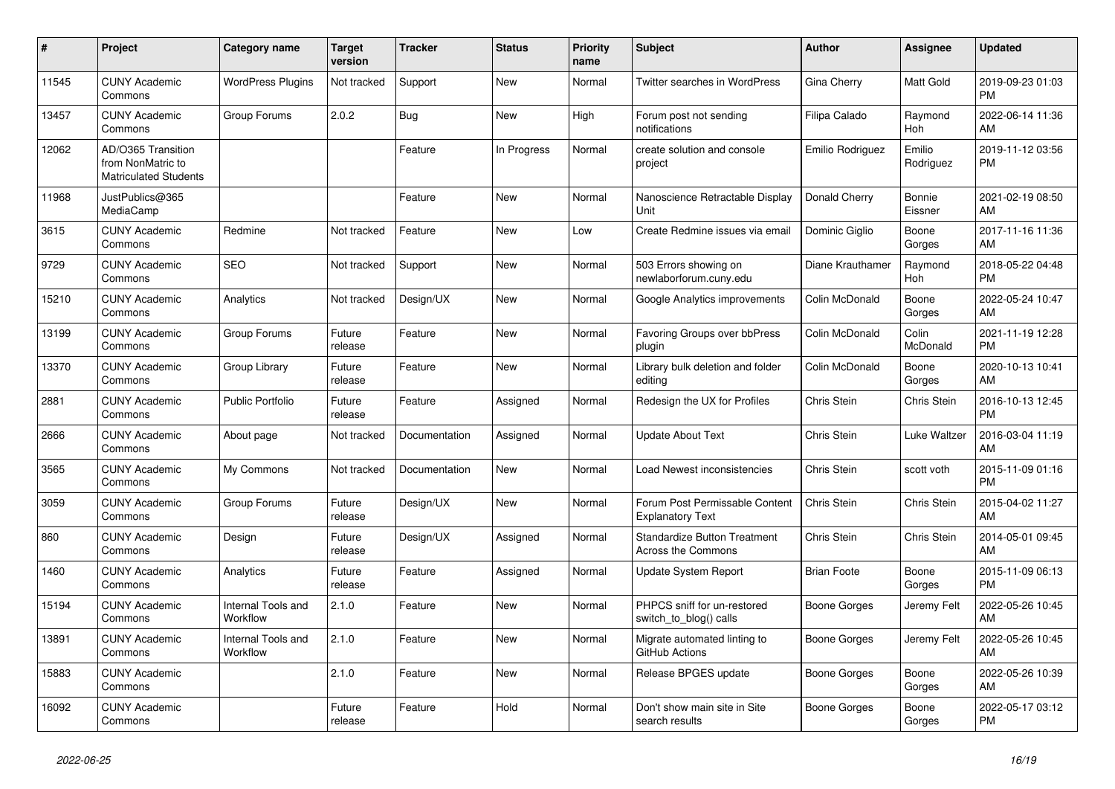| $\pmb{\#}$ | <b>Project</b>                                                          | Category name                  | <b>Target</b><br>version | <b>Tracker</b> | <b>Status</b> | <b>Priority</b><br>name | <b>Subject</b>                                            | <b>Author</b>      | <b>Assignee</b>     | <b>Updated</b>                |
|------------|-------------------------------------------------------------------------|--------------------------------|--------------------------|----------------|---------------|-------------------------|-----------------------------------------------------------|--------------------|---------------------|-------------------------------|
| 11545      | <b>CUNY Academic</b><br>Commons                                         | <b>WordPress Plugins</b>       | Not tracked              | Support        | <b>New</b>    | Normal                  | <b>Twitter searches in WordPress</b>                      | Gina Cherry        | <b>Matt Gold</b>    | 2019-09-23 01:03<br><b>PM</b> |
| 13457      | <b>CUNY Academic</b><br>Commons                                         | Group Forums                   | 2.0.2                    | <b>Bug</b>     | <b>New</b>    | High                    | Forum post not sending<br>notifications                   | Filipa Calado      | Raymond<br>Hoh      | 2022-06-14 11:36<br>AM        |
| 12062      | AD/O365 Transition<br>from NonMatric to<br><b>Matriculated Students</b> |                                |                          | Feature        | In Progress   | Normal                  | create solution and console<br>project                    | Emilio Rodriguez   | Emilio<br>Rodriguez | 2019-11-12 03:56<br><b>PM</b> |
| 11968      | JustPublics@365<br>MediaCamp                                            |                                |                          | Feature        | <b>New</b>    | Normal                  | Nanoscience Retractable Display<br>Unit                   | Donald Cherry      | Bonnie<br>Eissner   | 2021-02-19 08:50<br>AM        |
| 3615       | <b>CUNY Academic</b><br>Commons                                         | Redmine                        | Not tracked              | Feature        | <b>New</b>    | Low                     | Create Redmine issues via email                           | Dominic Giglio     | Boone<br>Gorges     | 2017-11-16 11:36<br>AM        |
| 9729       | <b>CUNY Academic</b><br>Commons                                         | <b>SEO</b>                     | Not tracked              | Support        | <b>New</b>    | Normal                  | 503 Errors showing on<br>newlaborforum.cuny.edu           | Diane Krauthamer   | Raymond<br>Hoh      | 2018-05-22 04:48<br><b>PM</b> |
| 15210      | <b>CUNY Academic</b><br>Commons                                         | Analytics                      | Not tracked              | Design/UX      | New           | Normal                  | Google Analytics improvements                             | Colin McDonald     | Boone<br>Gorges     | 2022-05-24 10:47<br>AM        |
| 13199      | <b>CUNY Academic</b><br>Commons                                         | Group Forums                   | Future<br>release        | Feature        | <b>New</b>    | Normal                  | Favoring Groups over bbPress<br>plugin                    | Colin McDonald     | Colin<br>McDonald   | 2021-11-19 12:28<br><b>PM</b> |
| 13370      | <b>CUNY Academic</b><br>Commons                                         | Group Library                  | Future<br>release        | Feature        | <b>New</b>    | Normal                  | Library bulk deletion and folder<br>editing               | Colin McDonald     | Boone<br>Gorges     | 2020-10-13 10:41<br>AM        |
| 2881       | <b>CUNY Academic</b><br>Commons                                         | <b>Public Portfolio</b>        | Future<br>release        | Feature        | Assigned      | Normal                  | Redesign the UX for Profiles                              | <b>Chris Stein</b> | Chris Stein         | 2016-10-13 12:45<br><b>PM</b> |
| 2666       | <b>CUNY Academic</b><br>Commons                                         | About page                     | Not tracked              | Documentation  | Assigned      | Normal                  | Update About Text                                         | Chris Stein        | Luke Waltzer        | 2016-03-04 11:19<br>AM        |
| 3565       | <b>CUNY Academic</b><br>Commons                                         | My Commons                     | Not tracked              | Documentation  | <b>New</b>    | Normal                  | Load Newest inconsistencies                               | Chris Stein        | scott voth          | 2015-11-09 01:16<br><b>PM</b> |
| 3059       | <b>CUNY Academic</b><br>Commons                                         | Group Forums                   | Future<br>release        | Design/UX      | <b>New</b>    | Normal                  | Forum Post Permissable Content<br><b>Explanatory Text</b> | Chris Stein        | Chris Stein         | 2015-04-02 11:27<br>AM        |
| 860        | <b>CUNY Academic</b><br>Commons                                         | Design                         | Future<br>release        | Design/UX      | Assigned      | Normal                  | <b>Standardize Button Treatment</b><br>Across the Commons | <b>Chris Stein</b> | Chris Stein         | 2014-05-01 09:45<br>AM        |
| 1460       | <b>CUNY Academic</b><br>Commons                                         | Analytics                      | Future<br>release        | Feature        | Assigned      | Normal                  | Update System Report                                      | <b>Brian Foote</b> | Boone<br>Gorges     | 2015-11-09 06:13<br><b>PM</b> |
| 15194      | <b>CUNY Academic</b><br>Commons                                         | Internal Tools and<br>Workflow | 2.1.0                    | Feature        | <b>New</b>    | Normal                  | PHPCS sniff for un-restored<br>switch_to_blog() calls     | Boone Gorges       | Jeremy Felt         | 2022-05-26 10:45<br>AM        |
| 13891      | <b>CUNY Academic</b><br>Commons                                         | Internal Tools and<br>Workflow | 2.1.0                    | Feature        | <b>New</b>    | Normal                  | Migrate automated linting to<br>GitHub Actions            | Boone Gorges       | Jeremy Felt         | 2022-05-26 10:45<br>AM        |
| 15883      | <b>CUNY Academic</b><br>Commons                                         |                                | 2.1.0                    | Feature        | New           | Normal                  | Release BPGES update                                      | Boone Gorges       | Boone<br>Gorges     | 2022-05-26 10:39<br>AM        |
| 16092      | <b>CUNY Academic</b><br>Commons                                         |                                | Future<br>release        | Feature        | Hold          | Normal                  | Don't show main site in Site<br>search results            | Boone Gorges       | Boone<br>Gorges     | 2022-05-17 03:12<br><b>PM</b> |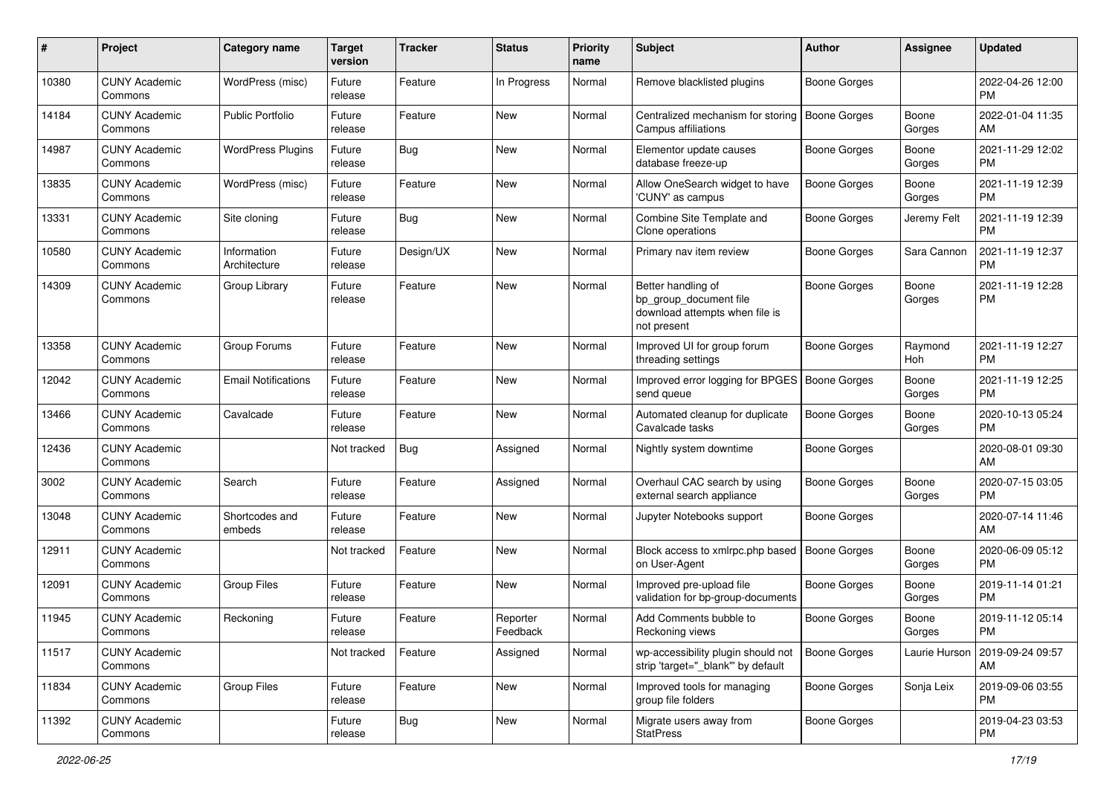| #     | Project                         | <b>Category name</b>        | <b>Target</b><br>version | <b>Tracker</b> | <b>Status</b>        | <b>Priority</b><br>name | <b>Subject</b>                                                                                | Author              | <b>Assignee</b> | <b>Updated</b>                |
|-------|---------------------------------|-----------------------------|--------------------------|----------------|----------------------|-------------------------|-----------------------------------------------------------------------------------------------|---------------------|-----------------|-------------------------------|
| 10380 | <b>CUNY Academic</b><br>Commons | WordPress (misc)            | Future<br>release        | Feature        | In Progress          | Normal                  | Remove blacklisted plugins                                                                    | <b>Boone Gorges</b> |                 | 2022-04-26 12:00<br>РM        |
| 14184 | <b>CUNY Academic</b><br>Commons | <b>Public Portfolio</b>     | Future<br>release        | Feature        | New                  | Normal                  | Centralized mechanism for storing<br>Campus affiliations                                      | <b>Boone Gorges</b> | Boone<br>Gorges | 2022-01-04 11:35<br>AM        |
| 14987 | <b>CUNY Academic</b><br>Commons | <b>WordPress Plugins</b>    | Future<br>release        | Bug            | New                  | Normal                  | Elementor update causes<br>database freeze-up                                                 | Boone Gorges        | Boone<br>Gorges | 2021-11-29 12:02<br><b>PM</b> |
| 13835 | <b>CUNY Academic</b><br>Commons | WordPress (misc)            | Future<br>release        | Feature        | <b>New</b>           | Normal                  | Allow OneSearch widget to have<br>'CUNY' as campus                                            | <b>Boone Gorges</b> | Boone<br>Gorges | 2021-11-19 12:39<br><b>PM</b> |
| 13331 | <b>CUNY Academic</b><br>Commons | Site cloning                | Future<br>release        | Bug            | New                  | Normal                  | Combine Site Template and<br>Clone operations                                                 | Boone Gorges        | Jeremy Felt     | 2021-11-19 12:39<br><b>PM</b> |
| 10580 | <b>CUNY Academic</b><br>Commons | Information<br>Architecture | Future<br>release        | Design/UX      | New                  | Normal                  | Primary nav item review                                                                       | Boone Gorges        | Sara Cannon     | 2021-11-19 12:37<br>РM        |
| 14309 | <b>CUNY Academic</b><br>Commons | Group Library               | Future<br>release        | Feature        | New                  | Normal                  | Better handling of<br>bp_group_document file<br>download attempts when file is<br>not present | Boone Gorges        | Boone<br>Gorges | 2021-11-19 12:28<br>РM        |
| 13358 | <b>CUNY Academic</b><br>Commons | Group Forums                | Future<br>release        | Feature        | New                  | Normal                  | Improved UI for group forum<br>threading settings                                             | Boone Gorges        | Raymond<br>Hoh  | 2021-11-19 12:27<br>РM        |
| 12042 | <b>CUNY Academic</b><br>Commons | <b>Email Notifications</b>  | Future<br>release        | Feature        | New                  | Normal                  | Improved error logging for BPGES<br>send queue                                                | <b>Boone Gorges</b> | Boone<br>Gorges | 2021-11-19 12:25<br><b>PM</b> |
| 13466 | <b>CUNY Academic</b><br>Commons | Cavalcade                   | Future<br>release        | Feature        | <b>New</b>           | Normal                  | Automated cleanup for duplicate<br>Cavalcade tasks                                            | Boone Gorges        | Boone<br>Gorges | 2020-10-13 05:24<br>PM        |
| 12436 | <b>CUNY Academic</b><br>Commons |                             | Not tracked              | <b>Bug</b>     | Assigned             | Normal                  | Nightly system downtime                                                                       | <b>Boone Gorges</b> |                 | 2020-08-01 09:30<br>AM        |
| 3002  | <b>CUNY Academic</b><br>Commons | Search                      | Future<br>release        | Feature        | Assigned             | Normal                  | Overhaul CAC search by using<br>external search appliance                                     | Boone Gorges        | Boone<br>Gorges | 2020-07-15 03:05<br>РM        |
| 13048 | <b>CUNY Academic</b><br>Commons | Shortcodes and<br>embeds    | Future<br>release        | Feature        | <b>New</b>           | Normal                  | Jupyter Notebooks support                                                                     | <b>Boone Gorges</b> |                 | 2020-07-14 11:46<br>AM        |
| 12911 | <b>CUNY Academic</b><br>Commons |                             | Not tracked              | Feature        | <b>New</b>           | Normal                  | Block access to xmlrpc.php based<br>on User-Agent                                             | <b>Boone Gorges</b> | Boone<br>Gorges | 2020-06-09 05:12<br><b>PM</b> |
| 12091 | <b>CUNY Academic</b><br>Commons | <b>Group Files</b>          | Future<br>release        | Feature        | New                  | Normal                  | Improved pre-upload file<br>validation for bp-group-documents                                 | Boone Gorges        | Boone<br>Gorges | 2019-11-14 01:21<br>PМ        |
| 11945 | <b>CUNY Academic</b><br>Commons | Reckoning                   | Future<br>release        | Feature        | Reporter<br>Feedback | Normal                  | Add Comments bubble to<br>Reckoning views                                                     | Boone Gorges        | Boone<br>Gorges | 2019-11-12 05:14<br>PM        |
| 11517 | <b>CUNY Academic</b><br>Commons |                             | Not tracked              | Feature        | Assigned             | Normal                  | wp-accessibility plugin should not<br>strip 'target="_blank" by default                       | Boone Gorges        | Laurie Hurson   | 2019-09-24 09:57<br>AM        |
| 11834 | <b>CUNY Academic</b><br>Commons | <b>Group Files</b>          | Future<br>release        | Feature        | New                  | Normal                  | Improved tools for managing<br>group file folders                                             | Boone Gorges        | Sonja Leix      | 2019-09-06 03:55<br><b>PM</b> |
| 11392 | <b>CUNY Academic</b><br>Commons |                             | Future<br>release        | <b>Bug</b>     | New                  | Normal                  | Migrate users away from<br><b>StatPress</b>                                                   | Boone Gorges        |                 | 2019-04-23 03:53<br><b>PM</b> |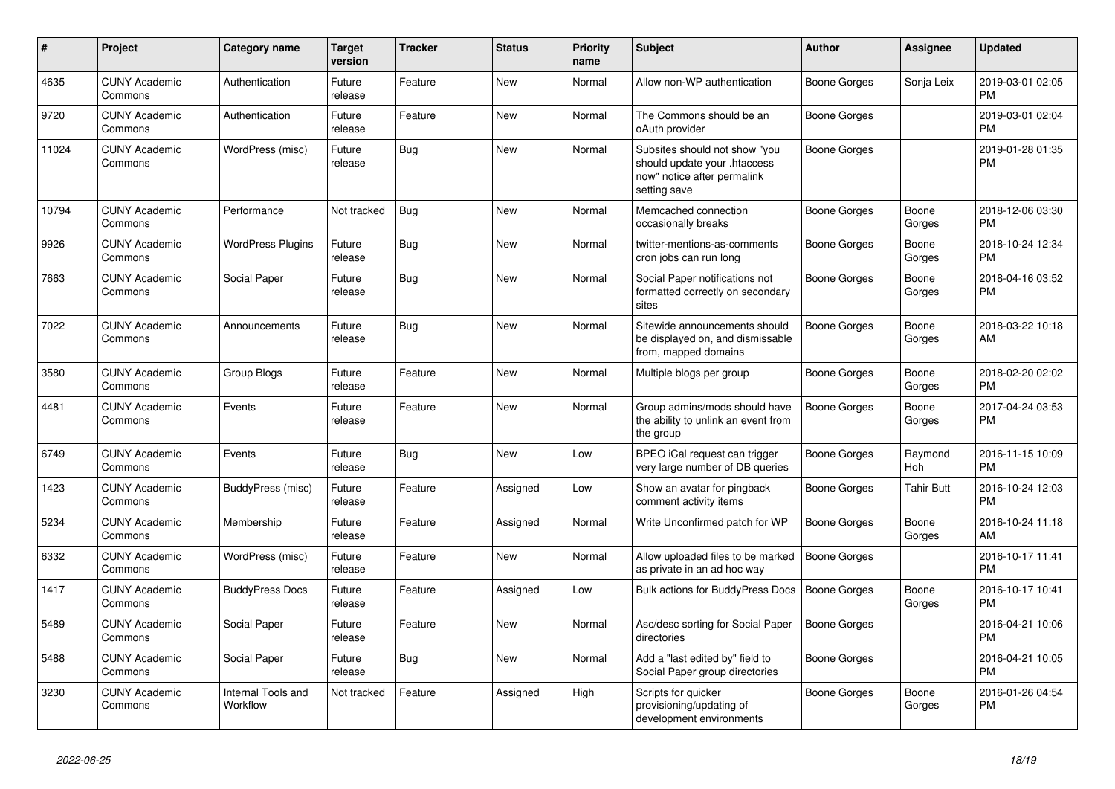| #     | <b>Project</b>                  | Category name                  | Target<br>version | <b>Tracker</b> | <b>Status</b> | <b>Priority</b><br>name | <b>Subject</b>                                                                                               | <b>Author</b>       | Assignee          | <b>Updated</b>                |
|-------|---------------------------------|--------------------------------|-------------------|----------------|---------------|-------------------------|--------------------------------------------------------------------------------------------------------------|---------------------|-------------------|-------------------------------|
| 4635  | <b>CUNY Academic</b><br>Commons | Authentication                 | Future<br>release | Feature        | <b>New</b>    | Normal                  | Allow non-WP authentication                                                                                  | Boone Gorges        | Sonja Leix        | 2019-03-01 02:05<br><b>PM</b> |
| 9720  | <b>CUNY Academic</b><br>Commons | Authentication                 | Future<br>release | Feature        | <b>New</b>    | Normal                  | The Commons should be an<br>oAuth provider                                                                   | Boone Gorges        |                   | 2019-03-01 02:04<br><b>PM</b> |
| 11024 | <b>CUNY Academic</b><br>Commons | WordPress (misc)               | Future<br>release | <b>Bug</b>     | <b>New</b>    | Normal                  | Subsites should not show "you<br>should update your .htaccess<br>now" notice after permalink<br>setting save | <b>Boone Gorges</b> |                   | 2019-01-28 01:35<br><b>PM</b> |
| 10794 | <b>CUNY Academic</b><br>Commons | Performance                    | Not tracked       | Bug            | <b>New</b>    | Normal                  | Memcached connection<br>occasionally breaks                                                                  | <b>Boone Gorges</b> | Boone<br>Gorges   | 2018-12-06 03:30<br><b>PM</b> |
| 9926  | <b>CUNY Academic</b><br>Commons | <b>WordPress Plugins</b>       | Future<br>release | Bug            | <b>New</b>    | Normal                  | twitter-mentions-as-comments<br>cron jobs can run long                                                       | Boone Gorges        | Boone<br>Gorges   | 2018-10-24 12:34<br><b>PM</b> |
| 7663  | <b>CUNY Academic</b><br>Commons | Social Paper                   | Future<br>release | <b>Bug</b>     | <b>New</b>    | Normal                  | Social Paper notifications not<br>formatted correctly on secondary<br>sites                                  | Boone Gorges        | Boone<br>Gorges   | 2018-04-16 03:52<br><b>PM</b> |
| 7022  | <b>CUNY Academic</b><br>Commons | Announcements                  | Future<br>release | Bug            | <b>New</b>    | Normal                  | Sitewide announcements should<br>be displayed on, and dismissable<br>from, mapped domains                    | <b>Boone Gorges</b> | Boone<br>Gorges   | 2018-03-22 10:18<br>AM        |
| 3580  | <b>CUNY Academic</b><br>Commons | Group Blogs                    | Future<br>release | Feature        | <b>New</b>    | Normal                  | Multiple blogs per group                                                                                     | Boone Gorges        | Boone<br>Gorges   | 2018-02-20 02:02<br><b>PM</b> |
| 4481  | <b>CUNY Academic</b><br>Commons | Events                         | Future<br>release | Feature        | <b>New</b>    | Normal                  | Group admins/mods should have<br>the ability to unlink an event from<br>the group                            | <b>Boone Gorges</b> | Boone<br>Gorges   | 2017-04-24 03:53<br><b>PM</b> |
| 6749  | <b>CUNY Academic</b><br>Commons | Events                         | Future<br>release | Bug            | <b>New</b>    | Low                     | BPEO iCal request can trigger<br>very large number of DB queries                                             | Boone Gorges        | Raymond<br>Hoh    | 2016-11-15 10:09<br><b>PM</b> |
| 1423  | <b>CUNY Academic</b><br>Commons | BuddyPress (misc)              | Future<br>release | Feature        | Assigned      | Low                     | Show an avatar for pingback<br>comment activity items                                                        | Boone Gorges        | <b>Tahir Butt</b> | 2016-10-24 12:03<br><b>PM</b> |
| 5234  | <b>CUNY Academic</b><br>Commons | Membership                     | Future<br>release | Feature        | Assigned      | Normal                  | Write Unconfirmed patch for WP                                                                               | <b>Boone Gorges</b> | Boone<br>Gorges   | 2016-10-24 11:18<br>AM        |
| 6332  | <b>CUNY Academic</b><br>Commons | WordPress (misc)               | Future<br>release | Feature        | <b>New</b>    | Normal                  | Allow uploaded files to be marked<br>as private in an ad hoc way                                             | <b>Boone Gorges</b> |                   | 2016-10-17 11:41<br><b>PM</b> |
| 1417  | <b>CUNY Academic</b><br>Commons | <b>BuddyPress Docs</b>         | Future<br>release | Feature        | Assigned      | Low                     | <b>Bulk actions for BuddyPress Docs</b>                                                                      | <b>Boone Gorges</b> | Boone<br>Gorges   | 2016-10-17 10:41<br><b>PM</b> |
| 5489  | <b>CUNY Academic</b><br>Commons | Social Paper                   | Future<br>release | Feature        | <b>New</b>    | Normal                  | Asc/desc sorting for Social Paper<br>directories                                                             | <b>Boone Gorges</b> |                   | 2016-04-21 10:06<br><b>PM</b> |
| 5488  | <b>CUNY Academic</b><br>Commons | Social Paper                   | Future<br>release | Bug            | New           | Normal                  | Add a "last edited by" field to<br>Social Paper group directories                                            | Boone Gorges        |                   | 2016-04-21 10:05<br><b>PM</b> |
| 3230  | <b>CUNY Academic</b><br>Commons | Internal Tools and<br>Workflow | Not tracked       | Feature        | Assigned      | High                    | Scripts for quicker<br>provisioning/updating of<br>development environments                                  | <b>Boone Gorges</b> | Boone<br>Gorges   | 2016-01-26 04:54<br><b>PM</b> |